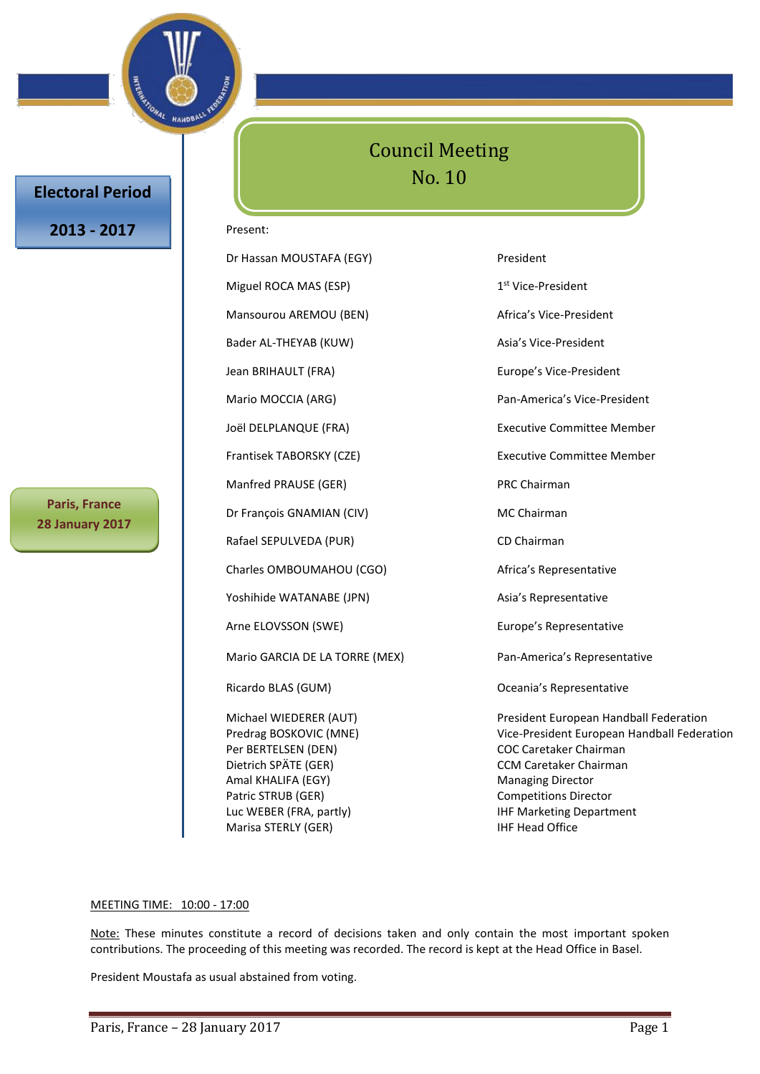

## **Electoral Period**

## **2013 - 2017**

**Paris, France 28 January 2017**

## Council Meeting No. 10

#### Present:

Dr Hassan MOUSTAFA (EGY) President Miguel ROCA MAS (ESP) 1 Mansourou AREMOU (BEN) Africa's Vice-President Bader AL-THEYAB (KUW) Asia's Vice-President Jean BRIHAULT (FRA) Europe's Vice-President Mario MOCCIA (ARG) Pan-America's Vice-President Joël DELPLANQUE (FRA) Executive Committee Member Frantisek TABORSKY (CZE) Executive Committee Member Manfred PRAUSE (GER) PRC Chairman Dr François GNAMIAN (CIV) MC Chairman Rafael SEPULVEDA (PUR) CD Chairman Charles OMBOUMAHOU (CGO) Africa's Representative Yoshihide WATANABE (JPN) Asia's Representative Arne ELOVSSON (SWE) Europe's Representative Mario GARCIA DE LA TORRE (MEX) Pan-America's Representative Ricardo BLAS (GUM) **CELLAS (GUM) CELLAS (GUM) CELLAS CONSTRUES CELLAS CONSTRUES C** Per BERTELSEN (DEN) COC Caretaker Chairman Dietrich SPÄTE (GER) CCM Caretaker Chairman Amal KHALIFA (EGY) Managing Director

1<sup>st</sup> Vice-President Michael WIEDERER (AUT) President European Handball Federation Predrag BOSKOVIC (MNE) Vice-President European Handball Federation Patric STRUB (GER) Competitions Director

#### MEETING TIME: 10:00 - 17:00

Note: These minutes constitute a record of decisions taken and only contain the most important spoken contributions. The proceeding of this meeting was recorded. The record is kept at the Head Office in Basel.

Luc WEBER (FRA, partly) The Marketing Department

Marisa STERLY (GER) **IHF Head Office** 

President Moustafa as usual abstained from voting.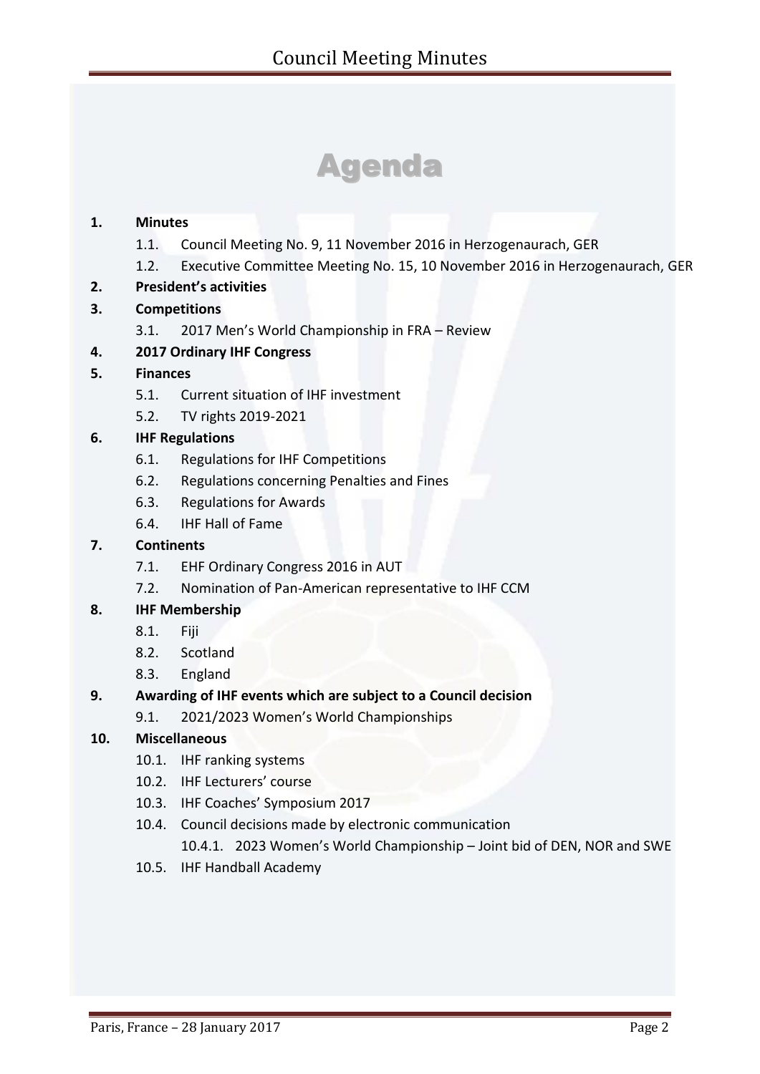# Agenda

## **1. Minutes**

- 1.1. Council Meeting No. 9, 11 November 2016 in Herzogenaurach, GER
- 1.2. Executive Committee Meeting No. 15, 10 November 2016 in Herzogenaurach, GER
- **2. President's activities**
- **3. Competitions**
	- 3.1. 2017 Men's World Championship in FRA Review
- **4. 2017 Ordinary IHF Congress**

## **5. Finances**

- 5.1. Current situation of IHF investment
- 5.2. TV rights 2019-2021

## **6. IHF Regulations**

- 6.1. Regulations for IHF Competitions
- 6.2. Regulations concerning Penalties and Fines
- 6.3. Regulations for Awards
- 6.4. IHF Hall of Fame

## **7. Continents**

- 7.1. EHF Ordinary Congress 2016 in AUT
- 7.2. Nomination of Pan-American representative to IHF CCM

## **8. IHF Membership**

- 8.1. Fiji
- 8.2. Scotland
- 8.3. England

## **9. Awarding of IHF events which are subject to a Council decision**

9.1. 2021/2023 Women's World Championships

## **10. Miscellaneous**

- 10.1. IHF ranking systems
- 10.2. IHF Lecturers' course
- 10.3. IHF Coaches' Symposium 2017
- 10.4. Council decisions made by electronic communication
	- 10.4.1. 2023 Women's World Championship Joint bid of DEN, NOR and SWE
- 10.5. IHF Handball Academy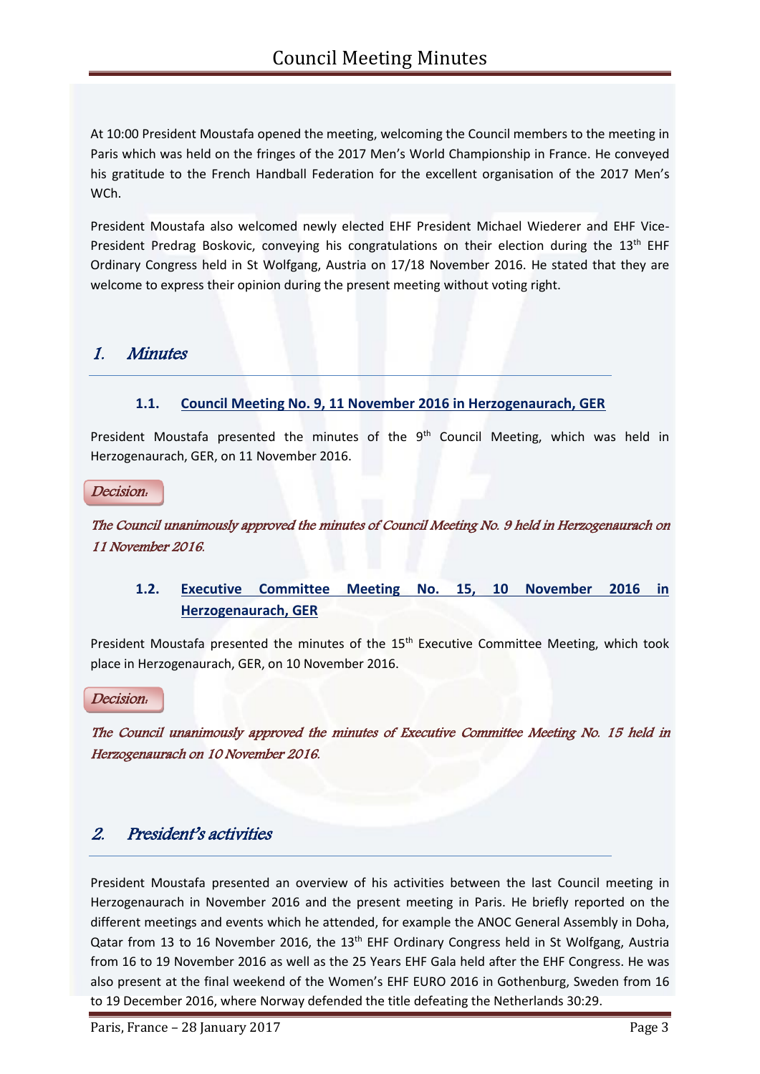At 10:00 President Moustafa opened the meeting, welcoming the Council members to the meeting in Paris which was held on the fringes of the 2017 Men's World Championship in France. He conveyed his gratitude to the French Handball Federation for the excellent organisation of the 2017 Men's WCh.

President Moustafa also welcomed newly elected EHF President Michael Wiederer and EHF Vice-President Predrag Boskovic, conveying his congratulations on their election during the 13<sup>th</sup> EHF Ordinary Congress held in St Wolfgang, Austria on 17/18 November 2016. He stated that they are welcome to express their opinion during the present meeting without voting right.

## 1. Minutes

## **1.1. Council Meeting No. 9, 11 November 2016 in Herzogenaurach, GER**

President Moustafa presented the minutes of the 9<sup>th</sup> Council Meeting, which was held in Herzogenaurach, GER, on 11 November 2016.

Decision:

The Council unanimously approved the minutes of Council Meeting No. 9 held in Herzogenaurach on 11 November 2016.

## **1.2. Executive Committee Meeting No. 15, 10 November 2016 in Herzogenaurach, GER**

President Moustafa presented the minutes of the 15<sup>th</sup> Executive Committee Meeting, which took place in Herzogenaurach, GER, on 10 November 2016.

Decision:

The Council unanimously approved the minutes of Executive Committee Meeting No. 15 held in Herzogenaurach on 10 November 2016.

## 2. President's activities

President Moustafa presented an overview of his activities between the last Council meeting in Herzogenaurach in November 2016 and the present meeting in Paris. He briefly reported on the different meetings and events which he attended, for example the ANOC General Assembly in Doha, Qatar from 13 to 16 November 2016, the 13<sup>th</sup> EHF Ordinary Congress held in St Wolfgang, Austria from 16 to 19 November 2016 as well as the 25 Years EHF Gala held after the EHF Congress. He was also present at the final weekend of the Women's EHF EURO 2016 in Gothenburg, Sweden from 16 to 19 December 2016, where Norway defended the title defeating the Netherlands 30:29.

Paris, France – 28 January 2017 **Page 3** Page 3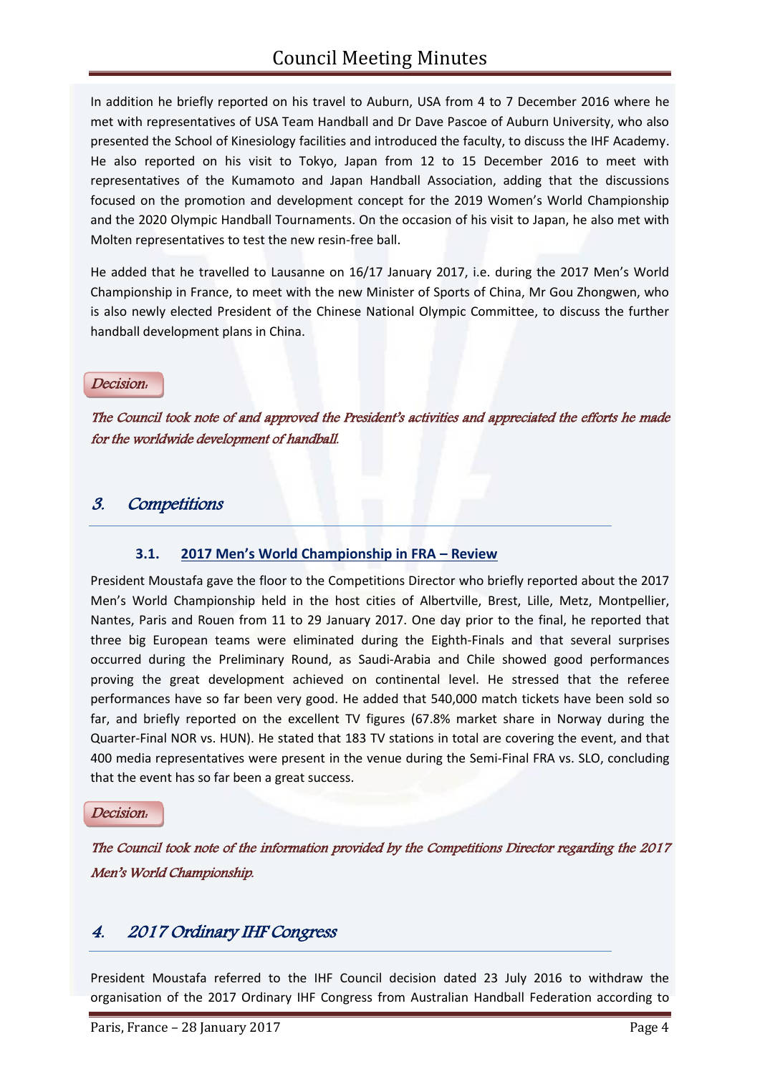In addition he briefly reported on his travel to Auburn, USA from 4 to 7 December 2016 where he met with representatives of USA Team Handball and Dr Dave Pascoe of Auburn University, who also presented the School of Kinesiology facilities and introduced the faculty, to discuss the IHF Academy. He also reported on his visit to Tokyo, Japan from 12 to 15 December 2016 to meet with representatives of the Kumamoto and Japan Handball Association, adding that the discussions focused on the promotion and development concept for the 2019 Women's World Championship and the 2020 Olympic Handball Tournaments. On the occasion of his visit to Japan, he also met with Molten representatives to test the new resin-free ball.

He added that he travelled to Lausanne on 16/17 January 2017, i.e. during the 2017 Men's World Championship in France, to meet with the new Minister of Sports of China, Mr Gou Zhongwen, who is also newly elected President of the Chinese National Olympic Committee, to discuss the further handball development plans in China.

#### Decision:

The Council took note of and approved the President's activities and appreciated the efforts he made for the worldwide development of handball.

## 3. Competitions

## **3.1. 2017 Men's World Championship in FRA – Review**

President Moustafa gave the floor to the Competitions Director who briefly reported about the 2017 Men's World Championship held in the host cities of Albertville, Brest, Lille, Metz, Montpellier, Nantes, Paris and Rouen from 11 to 29 January 2017. One day prior to the final, he reported that three big European teams were eliminated during the Eighth-Finals and that several surprises occurred during the Preliminary Round, as Saudi-Arabia and Chile showed good performances proving the great development achieved on continental level. He stressed that the referee performances have so far been very good. He added that 540,000 match tickets have been sold so far, and briefly reported on the excellent TV figures (67.8% market share in Norway during the Quarter-Final NOR vs. HUN). He stated that 183 TV stations in total are covering the event, and that 400 media representatives were present in the venue during the Semi-Final FRA vs. SLO, concluding that the event has so far been a great success.

#### Decision:

The Council took note of the information provided by the Competitions Director regarding the 2017 Men's World Championship.

## 4. 2017 Ordinary IHF Congress

President Moustafa referred to the IHF Council decision dated 23 July 2016 to withdraw the organisation of the 2017 Ordinary IHF Congress from Australian Handball Federation according to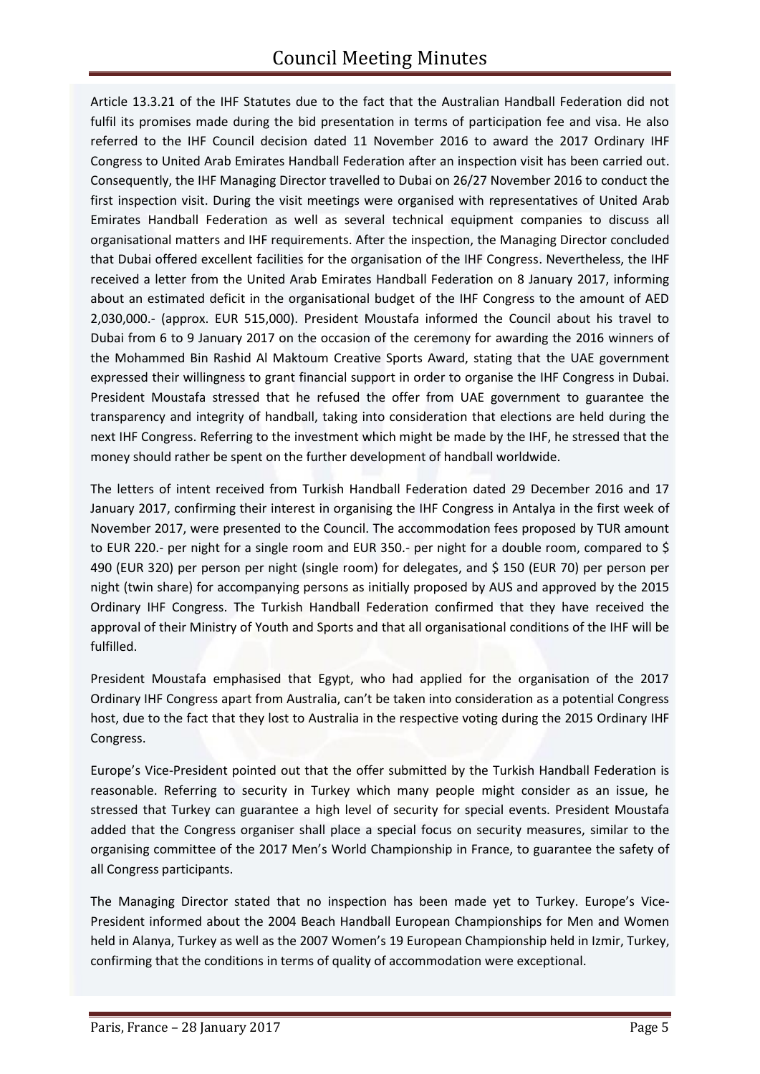Article 13.3.21 of the IHF Statutes due to the fact that the Australian Handball Federation did not fulfil its promises made during the bid presentation in terms of participation fee and visa. He also referred to the IHF Council decision dated 11 November 2016 to award the 2017 Ordinary IHF Congress to United Arab Emirates Handball Federation after an inspection visit has been carried out. Consequently, the IHF Managing Director travelled to Dubai on 26/27 November 2016 to conduct the first inspection visit. During the visit meetings were organised with representatives of United Arab Emirates Handball Federation as well as several technical equipment companies to discuss all organisational matters and IHF requirements. After the inspection, the Managing Director concluded that Dubai offered excellent facilities for the organisation of the IHF Congress. Nevertheless, the IHF received a letter from the United Arab Emirates Handball Federation on 8 January 2017, informing about an estimated deficit in the organisational budget of the IHF Congress to the amount of AED 2,030,000.- (approx. EUR 515,000). President Moustafa informed the Council about his travel to Dubai from 6 to 9 January 2017 on the occasion of the ceremony for awarding the 2016 winners of the Mohammed Bin Rashid Al Maktoum Creative Sports Award, stating that the UAE government expressed their willingness to grant financial support in order to organise the IHF Congress in Dubai. President Moustafa stressed that he refused the offer from UAE government to guarantee the transparency and integrity of handball, taking into consideration that elections are held during the next IHF Congress. Referring to the investment which might be made by the IHF, he stressed that the money should rather be spent on the further development of handball worldwide.

The letters of intent received from Turkish Handball Federation dated 29 December 2016 and 17 January 2017, confirming their interest in organising the IHF Congress in Antalya in the first week of November 2017, were presented to the Council. The accommodation fees proposed by TUR amount to EUR 220.- per night for a single room and EUR 350.- per night for a double room, compared to \$ 490 (EUR 320) per person per night (single room) for delegates, and \$ 150 (EUR 70) per person per night (twin share) for accompanying persons as initially proposed by AUS and approved by the 2015 Ordinary IHF Congress. The Turkish Handball Federation confirmed that they have received the approval of their Ministry of Youth and Sports and that all organisational conditions of the IHF will be fulfilled.

President Moustafa emphasised that Egypt, who had applied for the organisation of the 2017 Ordinary IHF Congress apart from Australia, can't be taken into consideration as a potential Congress host, due to the fact that they lost to Australia in the respective voting during the 2015 Ordinary IHF Congress.

Europe's Vice-President pointed out that the offer submitted by the Turkish Handball Federation is reasonable. Referring to security in Turkey which many people might consider as an issue, he stressed that Turkey can guarantee a high level of security for special events. President Moustafa added that the Congress organiser shall place a special focus on security measures, similar to the organising committee of the 2017 Men's World Championship in France, to guarantee the safety of all Congress participants.

The Managing Director stated that no inspection has been made yet to Turkey. Europe's Vice-President informed about the 2004 Beach Handball European Championships for Men and Women held in Alanya, Turkey as well as the 2007 Women's 19 European Championship held in Izmir, Turkey, confirming that the conditions in terms of quality of accommodation were exceptional.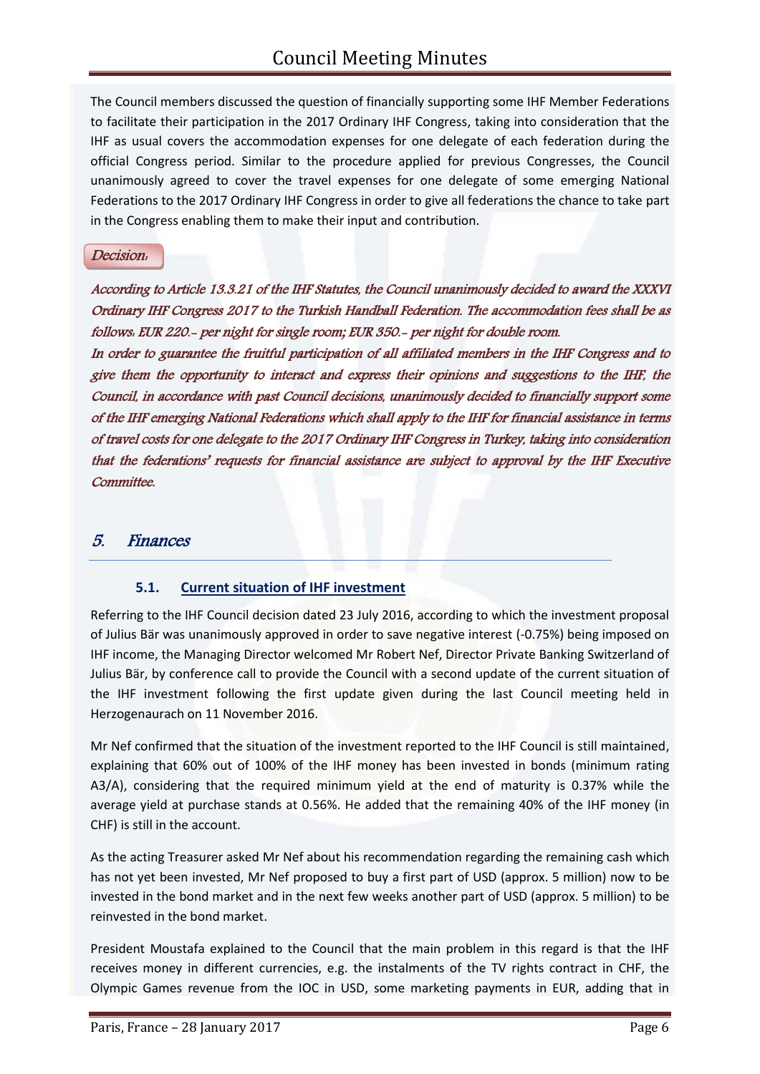The Council members discussed the question of financially supporting some IHF Member Federations to facilitate their participation in the 2017 Ordinary IHF Congress, taking into consideration that the IHF as usual covers the accommodation expenses for one delegate of each federation during the official Congress period. Similar to the procedure applied for previous Congresses, the Council unanimously agreed to cover the travel expenses for one delegate of some emerging National Federations to the 2017 Ordinary IHF Congress in order to give all federations the chance to take part in the Congress enabling them to make their input and contribution.

#### Decision:

According to Article 13.3.21 of the IHF Statutes, the Council unanimously decided to award the XXXVI Ordinary IHF Congress 2017 to the Turkish Handball Federation. The accommodation fees shall be as follows: EUR 220.- per night for single room; EUR 350.- per night for double room.

In order to guarantee the fruitful participation of all affiliated members in the IHF Congress and to give them the opportunity to interact and express their opinions and suggestions to the IHF, the Council, in accordance with past Council decisions, unanimously decided to financially support some of the IHF emerging National Federations which shall apply to the IHF for financial assistance in terms of travel costs for one delegate to the 2017 Ordinary IHF Congress in Turkey, taking into consideration that the federations' requests for financial assistance are subject to approval by the IHF Executive Committee.

## 5. Finances

#### **5.1. Current situation of IHF investment**

Referring to the IHF Council decision dated 23 July 2016, according to which the investment proposal of Julius Bär was unanimously approved in order to save negative interest (-0.75%) being imposed on IHF income, the Managing Director welcomed Mr Robert Nef, Director Private Banking Switzerland of Julius Bär, by conference call to provide the Council with a second update of the current situation of the IHF investment following the first update given during the last Council meeting held in Herzogenaurach on 11 November 2016.

Mr Nef confirmed that the situation of the investment reported to the IHF Council is still maintained, explaining that 60% out of 100% of the IHF money has been invested in bonds (minimum rating A3/A), considering that the required minimum yield at the end of maturity is 0.37% while the average yield at purchase stands at 0.56%. He added that the remaining 40% of the IHF money (in CHF) is still in the account.

As the acting Treasurer asked Mr Nef about his recommendation regarding the remaining cash which has not yet been invested, Mr Nef proposed to buy a first part of USD (approx. 5 million) now to be invested in the bond market and in the next few weeks another part of USD (approx. 5 million) to be reinvested in the bond market.

President Moustafa explained to the Council that the main problem in this regard is that the IHF receives money in different currencies, e.g. the instalments of the TV rights contract in CHF, the Olympic Games revenue from the IOC in USD, some marketing payments in EUR, adding that in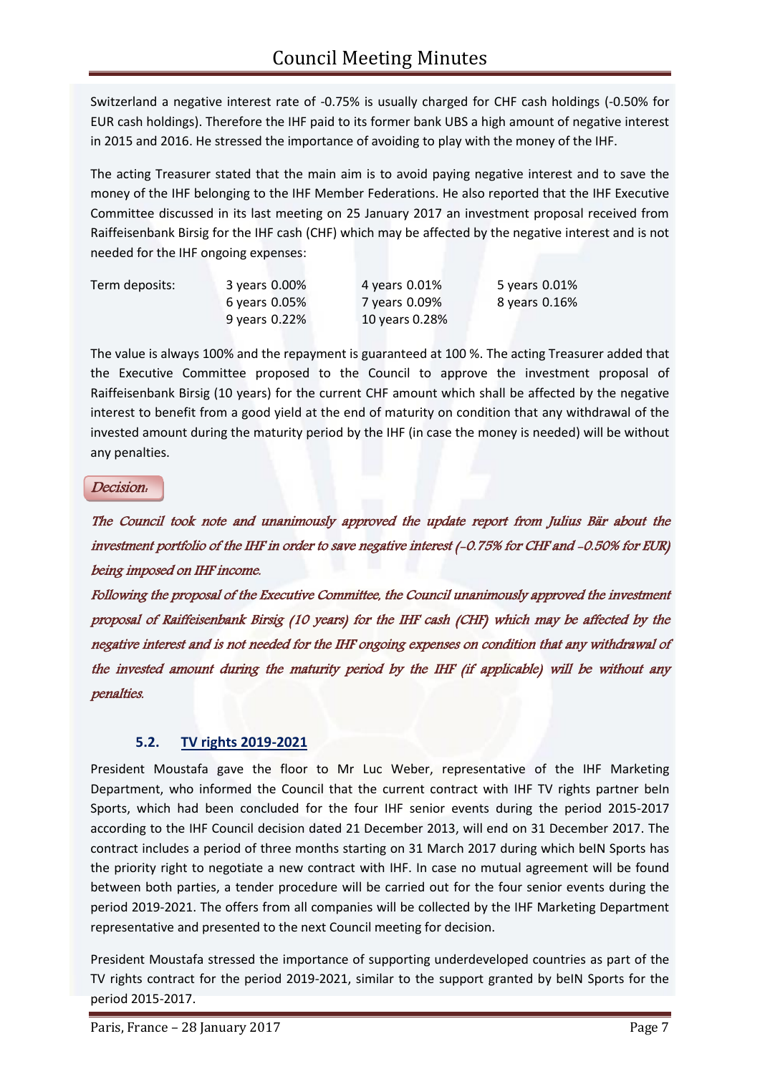Switzerland a negative interest rate of -0.75% is usually charged for CHF cash holdings (-0.50% for EUR cash holdings). Therefore the IHF paid to its former bank UBS a high amount of negative interest in 2015 and 2016. He stressed the importance of avoiding to play with the money of the IHF.

The acting Treasurer stated that the main aim is to avoid paying negative interest and to save the money of the IHF belonging to the IHF Member Federations. He also reported that the IHF Executive Committee discussed in its last meeting on 25 January 2017 an investment proposal received from Raiffeisenbank Birsig for the IHF cash (CHF) which may be affected by the negative interest and is not needed for the IHF ongoing expenses:

Term deposits: 3 years 0.00% 4 years 0.01% 5 years 0.01% 9 years 0.22% 10 years 0.28%

6 years 0.05% 7 years 0.09% 8 years 0.16%

The value is always 100% and the repayment is guaranteed at 100 %. The acting Treasurer added that the Executive Committee proposed to the Council to approve the investment proposal of Raiffeisenbank Birsig (10 years) for the current CHF amount which shall be affected by the negative interest to benefit from a good yield at the end of maturity on condition that any withdrawal of the invested amount during the maturity period by the IHF (in case the money is needed) will be without any penalties.

#### Decision:

The Council took note and unanimously approved the update report from Julius Bär about the investment portfolio of the IHF in order to save negative interest (-0.75% for CHF and -0.50% for EUR) being imposed on IHF income.

Following the proposal of the Executive Committee, the Council unanimously approved the investment proposal of Raiffeisenbank Birsig (10 years) for the IHF cash (CHF) which may be affected by the negative interest and is not needed for the IHF ongoing expenses on condition that any withdrawal of the invested amount during the maturity period by the IHF (if applicable) will be without any penalties.

## **5.2. TV rights 2019-2021**

President Moustafa gave the floor to Mr Luc Weber, representative of the IHF Marketing Department, who informed the Council that the current contract with IHF TV rights partner beIn Sports, which had been concluded for the four IHF senior events during the period 2015-2017 according to the IHF Council decision dated 21 December 2013, will end on 31 December 2017. The contract includes a period of three months starting on 31 March 2017 during which beIN Sports has the priority right to negotiate a new contract with IHF. In case no mutual agreement will be found between both parties, a tender procedure will be carried out for the four senior events during the period 2019-2021. The offers from all companies will be collected by the IHF Marketing Department representative and presented to the next Council meeting for decision.

President Moustafa stressed the importance of supporting underdeveloped countries as part of the TV rights contract for the period 2019-2021, similar to the support granted by beIN Sports for the period 2015-2017.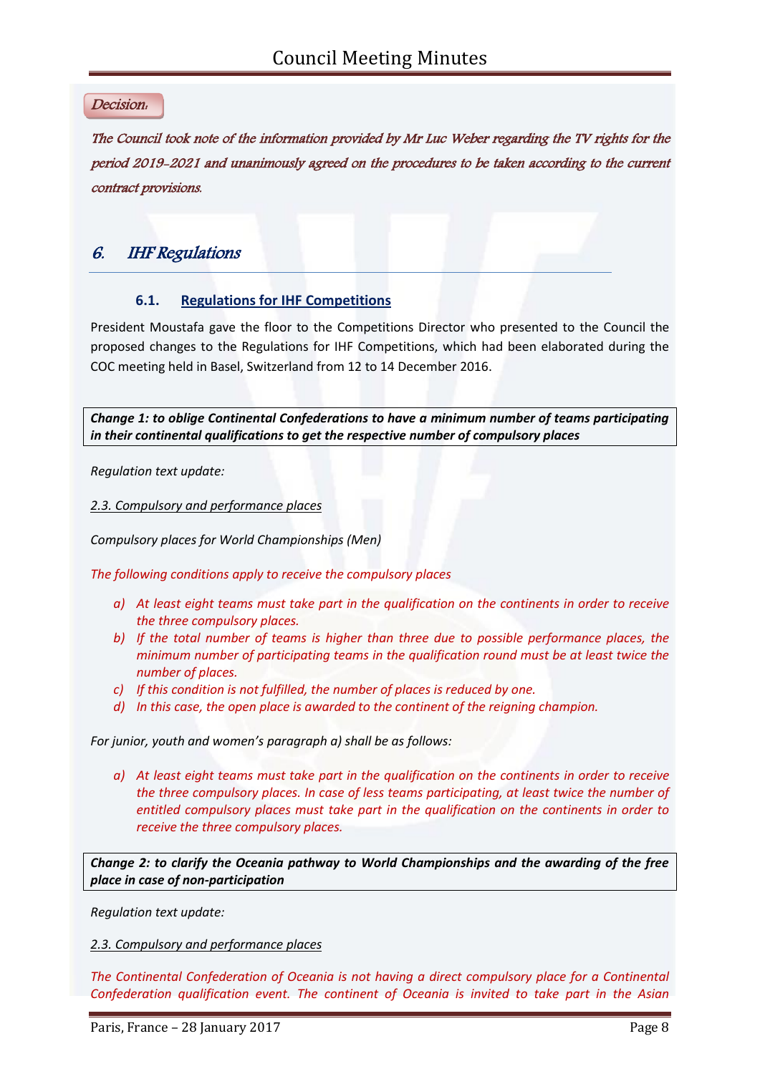#### Decision:

The Council took note of the information provided by Mr Luc Weber regarding the TV rights for the period 2019-2021 and unanimously agreed on the procedures to be taken according to the current contract provisions.

## 6. IHF Regulations

#### **6.1. Regulations for IHF Competitions**

President Moustafa gave the floor to the Competitions Director who presented to the Council the proposed changes to the Regulations for IHF Competitions, which had been elaborated during the COC meeting held in Basel, Switzerland from 12 to 14 December 2016.

*Change 1: to oblige Continental Confederations to have a minimum number of teams participating in their continental qualifications to get the respective number of compulsory places*

*Regulation text update:*

*2.3. Compulsory and performance places*

*Compulsory places for World Championships (Men)*

*The following conditions apply to receive the compulsory places*

- *a) At least eight teams must take part in the qualification on the continents in order to receive the three compulsory places.*
- *b) If the total number of teams is higher than three due to possible performance places, the minimum number of participating teams in the qualification round must be at least twice the number of places.*
- *c) If this condition is not fulfilled, the number of places is reduced by one.*
- *d) In this case, the open place is awarded to the continent of the reigning champion.*

*For junior, youth and women's paragraph a) shall be as follows:*

*a) At least eight teams must take part in the qualification on the continents in order to receive the three compulsory places. In case of less teams participating, at least twice the number of entitled compulsory places must take part in the qualification on the continents in order to receive the three compulsory places.*

*Change 2: to clarify the Oceania pathway to World Championships and the awarding of the free place in case of non-participation*

*Regulation text update:*

*2.3. Compulsory and performance places*

*The Continental Confederation of Oceania is not having a direct compulsory place for a Continental Confederation qualification event. The continent of Oceania is invited to take part in the Asian*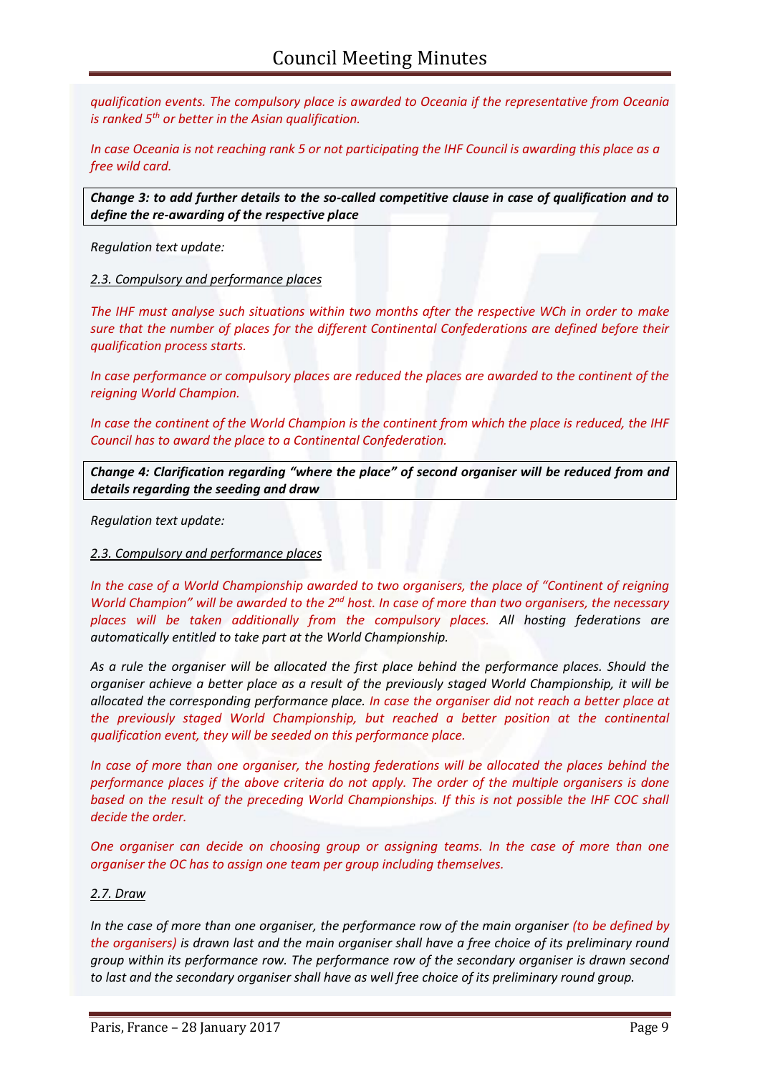*qualification events. The compulsory place is awarded to Oceania if the representative from Oceania is ranked 5th or better in the Asian qualification.* 

*In case Oceania is not reaching rank 5 or not participating the IHF Council is awarding this place as a free wild card.* 

*Change 3: to add further details to the so-called competitive clause in case of qualification and to define the re-awarding of the respective place*

*Regulation text update:*

#### *2.3. Compulsory and performance places*

*The IHF must analyse such situations within two months after the respective WCh in order to make sure that the number of places for the different Continental Confederations are defined before their qualification process starts.*

*In case performance or compulsory places are reduced the places are awarded to the continent of the reigning World Champion.*

*In case the continent of the World Champion is the continent from which the place is reduced, the IHF Council has to award the place to a Continental Confederation.*

*Change 4: Clarification regarding "where the place" of second organiser will be reduced from and details regarding the seeding and draw*

*Regulation text update:*

#### *2.3. Compulsory and performance places*

*In the case of a World Championship awarded to two organisers, the place of "Continent of reigning World Champion" will be awarded to the 2nd host. In case of more than two organisers, the necessary places will be taken additionally from the compulsory places. All hosting federations are automatically entitled to take part at the World Championship.*

*As a rule the organiser will be allocated the first place behind the performance places. Should the organiser achieve a better place as a result of the previously staged World Championship, it will be allocated the corresponding performance place. In case the organiser did not reach a better place at the previously staged World Championship, but reached a better position at the continental qualification event, they will be seeded on this performance place.*

*In case of more than one organiser, the hosting federations will be allocated the places behind the performance places if the above criteria do not apply. The order of the multiple organisers is done based on the result of the preceding World Championships. If this is not possible the IHF COC shall decide the order.*

*One organiser can decide on choosing group or assigning teams. In the case of more than one organiser the OC has to assign one team per group including themselves.*

#### *2.7. Draw*

*In the case of more than one organiser, the performance row of the main organiser (to be defined by the organisers) is drawn last and the main organiser shall have a free choice of its preliminary round group within its performance row. The performance row of the secondary organiser is drawn second to last and the secondary organiser shall have as well free choice of its preliminary round group.*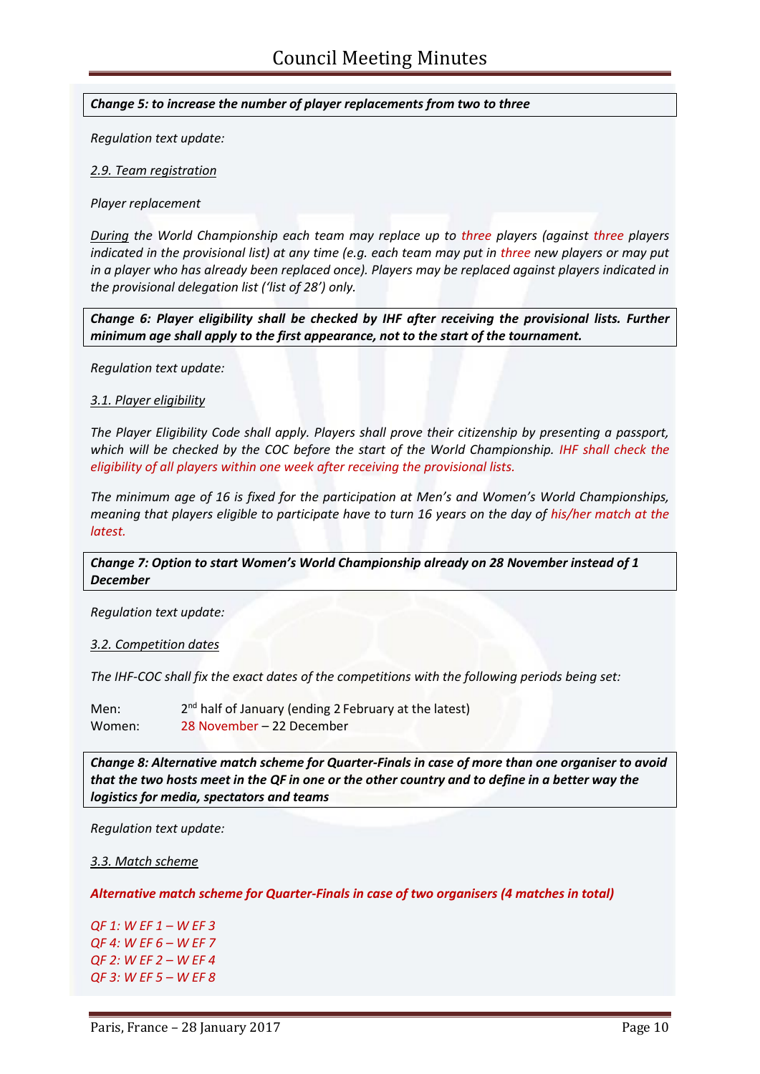*Change 5: to increase the number of player replacements from two to three*

*Regulation text update:*

*2.9. Team registration*

*Player replacement*

*During the World Championship each team may replace up to three players (against three players indicated in the provisional list) at any time (e.g. each team may put in three new players or may put in a player who has already been replaced once). Players may be replaced against players indicated in the provisional delegation list ('list of 28') only.* 

*Change 6: Player eligibility shall be checked by IHF after receiving the provisional lists. Further minimum age shall apply to the first appearance, not to the start of the tournament.*

*Regulation text update:*

*3.1. Player eligibility*

*The Player Eligibility Code shall apply. Players shall prove their citizenship by presenting a passport, which will be checked by the COC before the start of the World Championship. IHF shall check the eligibility of all players within one week after receiving the provisional lists.*

*The minimum age of 16 is fixed for the participation at Men's and Women's World Championships, meaning that players eligible to participate have to turn 16 years on the day of his/her match at the latest.*

*Change 7: Option to start Women's World Championship already on 28 November instead of 1 December*

*Regulation text update:*

*3.2. Competition dates*

*The IHF-COC shall fix the exact dates of the competitions with the following periods being set:* 

Men:  $2<sup>nd</sup>$  half of January (ending 2 February at the latest) Women: 28 November – 22 December

*Change 8: Alternative match scheme for Quarter-Finals in case of more than one organiser to avoid that the two hosts meet in the QF in one or the other country and to define in a better way the logistics for media, spectators and teams*

*Regulation text update:*

*3.3. Match scheme*

*Alternative match scheme for Quarter-Finals in case of two organisers (4 matches in total)*

*QF 1: W EF 1 – W EF 3 QF 4: W EF 6 – W EF 7 QF 2: W EF 2 – W EF 4 QF 3: W EF 5 – W EF 8*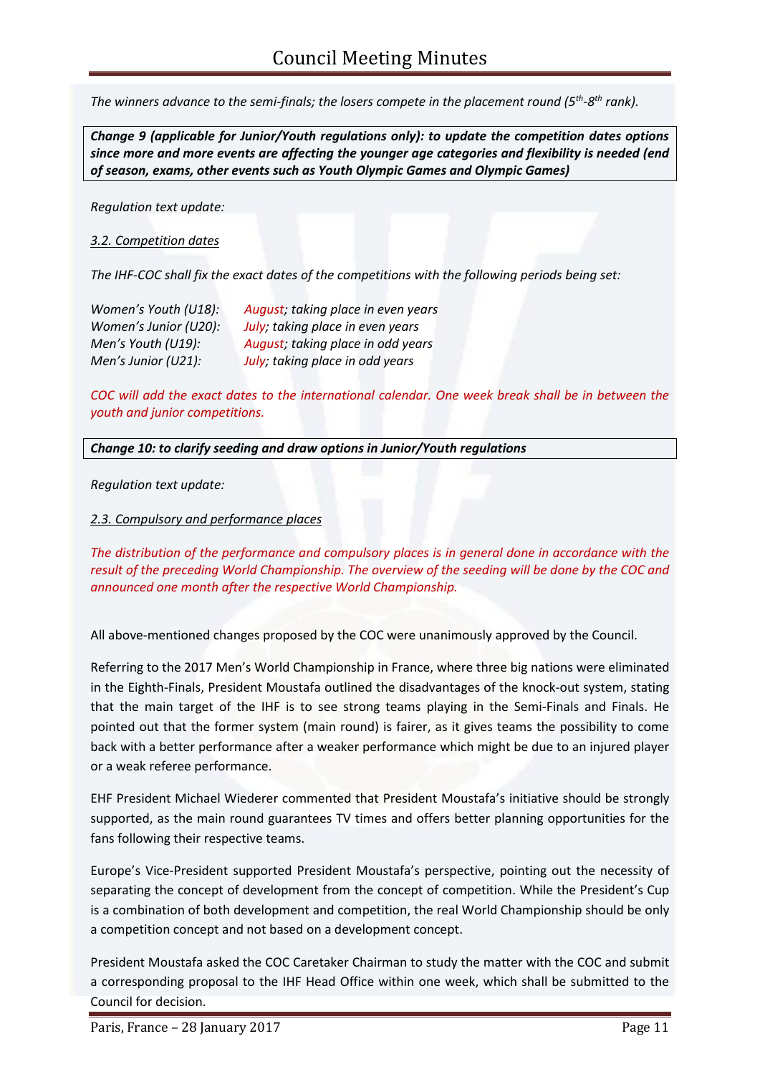*The winners advance to the semi-finals; the losers compete in the placement round (5th -8 th rank).* 

*Change 9 (applicable for Junior/Youth regulations only): to update the competition dates options since more and more events are affecting the younger age categories and flexibility is needed (end of season, exams, other events such as Youth Olympic Games and Olympic Games)*

*Regulation text update:*

*3.2. Competition dates*

*The IHF-COC shall fix the exact dates of the competitions with the following periods being set:* 

*Women's Youth (U18): August; taking place in even years Women's Junior (U20): July; taking place in even years Men's Youth (U19): August; taking place in odd years Men's Junior (U21): July; taking place in odd years* 

*COC will add the exact dates to the international calendar. One week break shall be in between the youth and junior competitions.*

*Change 10: to clarify seeding and draw options in Junior/Youth regulations*

*Regulation text update:*

*2.3. Compulsory and performance places*

*The distribution of the performance and compulsory places is in general done in accordance with the result of the preceding World Championship. The overview of the seeding will be done by the COC and announced one month after the respective World Championship.*

All above-mentioned changes proposed by the COC were unanimously approved by the Council.

Referring to the 2017 Men's World Championship in France, where three big nations were eliminated in the Eighth-Finals, President Moustafa outlined the disadvantages of the knock-out system, stating that the main target of the IHF is to see strong teams playing in the Semi-Finals and Finals. He pointed out that the former system (main round) is fairer, as it gives teams the possibility to come back with a better performance after a weaker performance which might be due to an injured player or a weak referee performance.

EHF President Michael Wiederer commented that President Moustafa's initiative should be strongly supported, as the main round guarantees TV times and offers better planning opportunities for the fans following their respective teams.

Europe's Vice-President supported President Moustafa's perspective, pointing out the necessity of separating the concept of development from the concept of competition. While the President's Cup is a combination of both development and competition, the real World Championship should be only a competition concept and not based on a development concept.

President Moustafa asked the COC Caretaker Chairman to study the matter with the COC and submit a corresponding proposal to the IHF Head Office within one week, which shall be submitted to the Council for decision.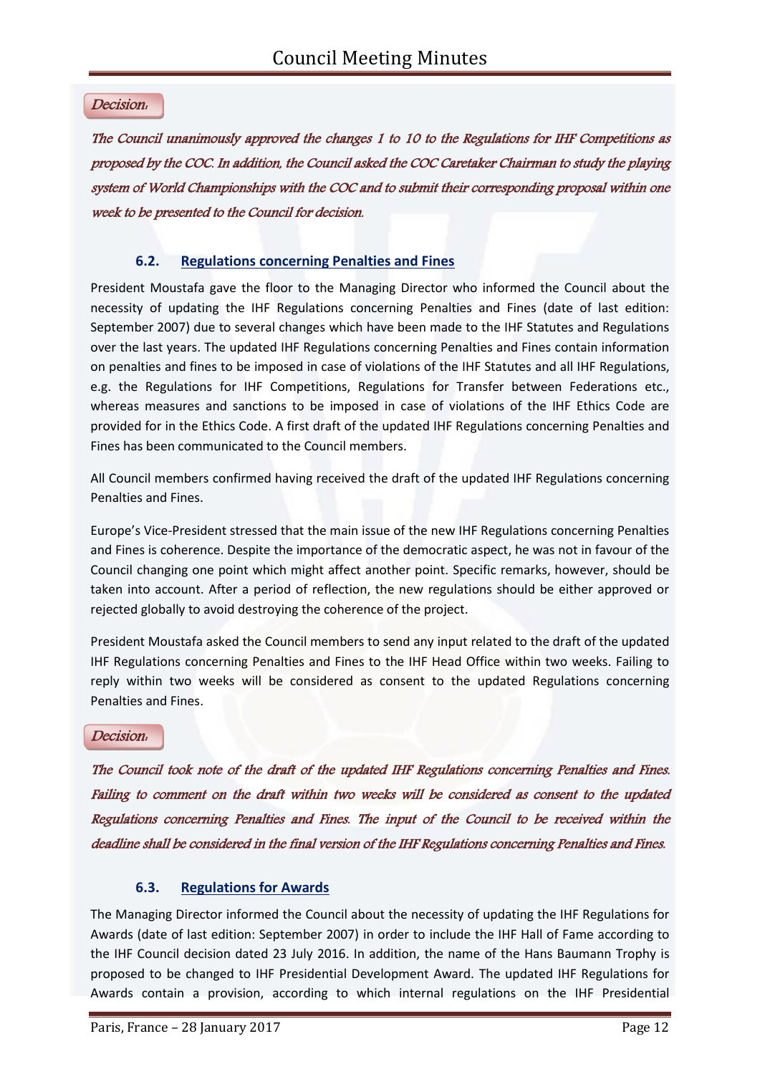## Decision:

The Council unanimously approved the changes 1 to 10 to the Regulations for IHF Competitions as proposed by the COC. In addition, the Council asked the COC Caretaker Chairman to study the playing system of World Championships with the COC and to submit their corresponding proposal within one week to be presented to the Council for decision.

## **6.2. Regulations concerning Penalties and Fines**

President Moustafa gave the floor to the Managing Director who informed the Council about the necessity of updating the IHF Regulations concerning Penalties and Fines (date of last edition: September 2007) due to several changes which have been made to the IHF Statutes and Regulations over the last years. The updated IHF Regulations concerning Penalties and Fines contain information on penalties and fines to be imposed in case of violations of the IHF Statutes and all IHF Regulations, e.g. the Regulations for IHF Competitions, Regulations for Transfer between Federations etc., whereas measures and sanctions to be imposed in case of violations of the IHF Ethics Code are provided for in the Ethics Code. A first draft of the updated IHF Regulations concerning Penalties and Fines has been communicated to the Council members.

All Council members confirmed having received the draft of the updated IHF Regulations concerning Penalties and Fines.

Europe's Vice-President stressed that the main issue of the new IHF Regulations concerning Penalties and Fines is coherence. Despite the importance of the democratic aspect, he was not in favour of the Council changing one point which might affect another point. Specific remarks, however, should be taken into account. After a period of reflection, the new regulations should be either approved or rejected globally to avoid destroying the coherence of the project.

President Moustafa asked the Council members to send any input related to the draft of the updated IHF Regulations concerning Penalties and Fines to the IHF Head Office within two weeks. Failing to reply within two weeks will be considered as consent to the updated Regulations concerning Penalties and Fines.

## Decision:

The Council took note of the draft of the updated IHF Regulations concerning Penalties and Fines. Failing to comment on the draft within two weeks will be considered as consent to the updated Regulations concerning Penalties and Fines. The input of the Council to be received within the deadline shall be considered in the final version of the IHF Regulations concerning Penalties and Fines.

## **6.3. Regulations for Awards**

The Managing Director informed the Council about the necessity of updating the IHF Regulations for Awards (date of last edition: September 2007) in order to include the IHF Hall of Fame according to the IHF Council decision dated 23 July 2016. In addition, the name of the Hans Baumann Trophy is proposed to be changed to IHF Presidential Development Award. The updated IHF Regulations for Awards contain a provision, according to which internal regulations on the IHF Presidential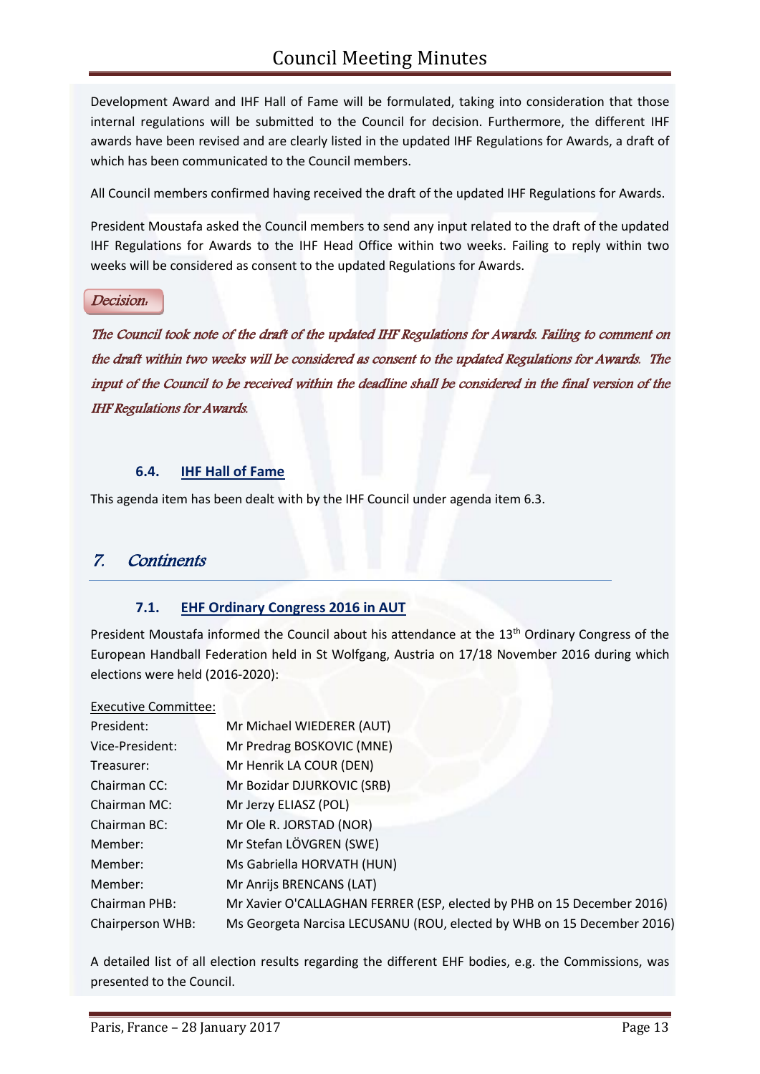Development Award and IHF Hall of Fame will be formulated, taking into consideration that those internal regulations will be submitted to the Council for decision. Furthermore, the different IHF awards have been revised and are clearly listed in the updated IHF Regulations for Awards, a draft of which has been communicated to the Council members.

All Council members confirmed having received the draft of the updated IHF Regulations for Awards.

President Moustafa asked the Council members to send any input related to the draft of the updated IHF Regulations for Awards to the IHF Head Office within two weeks. Failing to reply within two weeks will be considered as consent to the updated Regulations for Awards.

#### Decision:

The Council took note of the draft of the updated IHF Regulations for Awards. Failing to comment on the draft within two weeks will be considered as consent to the updated Regulations for Awards. The input of the Council to be received within the deadline shall be considered in the final version of the IHF Regulations for Awards.

#### **6.4. IHF Hall of Fame**

This agenda item has been dealt with by the IHF Council under agenda item 6.3.

## 7. Continents

## **7.1. EHF Ordinary Congress 2016 in AUT**

President Moustafa informed the Council about his attendance at the 13<sup>th</sup> Ordinary Congress of the European Handball Federation held in St Wolfgang, Austria on 17/18 November 2016 during which elections were held (2016-2020):

#### Executive Committee:

| President:       | Mr Michael WIEDERER (AUT)                                              |
|------------------|------------------------------------------------------------------------|
| Vice-President:  | Mr Predrag BOSKOVIC (MNE)                                              |
| Treasurer:       | Mr Henrik LA COUR (DEN)                                                |
| Chairman CC:     | Mr Bozidar DJURKOVIC (SRB)                                             |
| Chairman MC:     | Mr Jerzy ELIASZ (POL)                                                  |
| Chairman BC:     | Mr Ole R. JORSTAD (NOR)                                                |
| Member:          | Mr Stefan LÖVGREN (SWE)                                                |
| Member:          | Ms Gabriella HORVATH (HUN)                                             |
| Member:          | Mr Anrijs BRENCANS (LAT)                                               |
| Chairman PHB:    | Mr Xavier O'CALLAGHAN FERRER (ESP, elected by PHB on 15 December 2016) |
| Chairperson WHB: | Ms Georgeta Narcisa LECUSANU (ROU, elected by WHB on 15 December 2016) |

A detailed list of all election results regarding the different EHF bodies, e.g. the Commissions, was presented to the Council.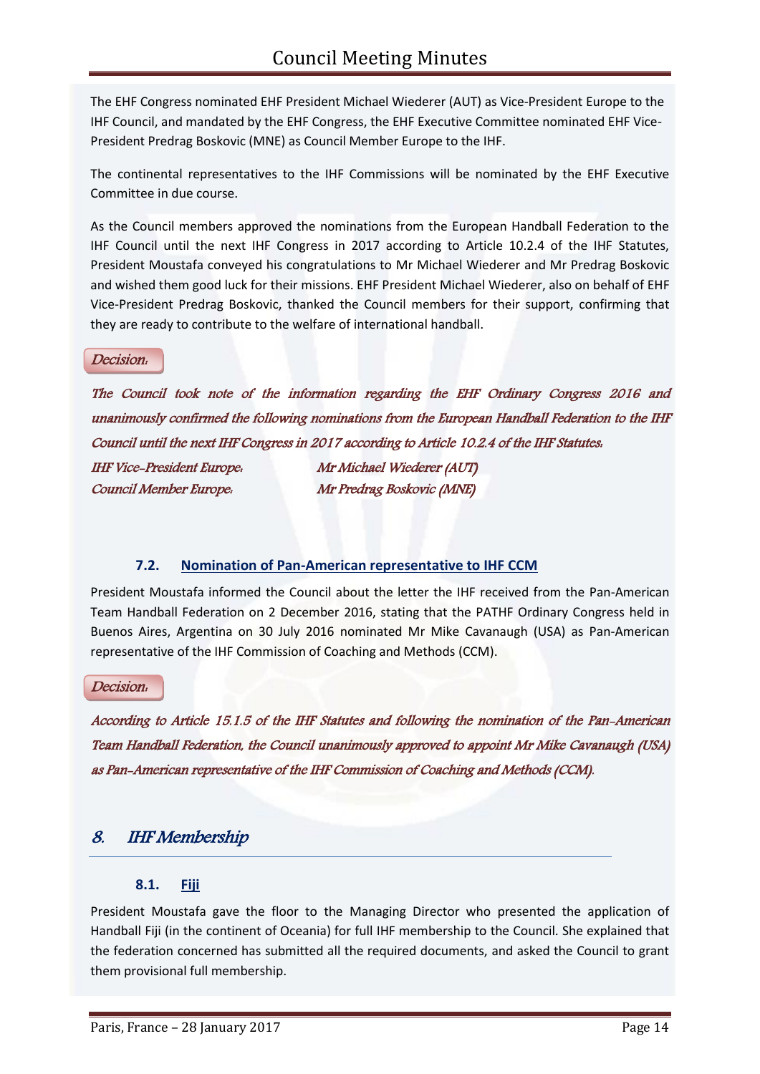The EHF Congress nominated EHF President Michael Wiederer (AUT) as Vice-President Europe to the IHF Council, and mandated by the EHF Congress, the EHF Executive Committee nominated EHF Vice-President Predrag Boskovic (MNE) as Council Member Europe to the IHF.

The continental representatives to the IHF Commissions will be nominated by the EHF Executive Committee in due course.

As the Council members approved the nominations from the European Handball Federation to the IHF Council until the next IHF Congress in 2017 according to Article 10.2.4 of the IHF Statutes, President Moustafa conveyed his congratulations to Mr Michael Wiederer and Mr Predrag Boskovic and wished them good luck for their missions. EHF President Michael Wiederer, also on behalf of EHF Vice-President Predrag Boskovic, thanked the Council members for their support, confirming that they are ready to contribute to the welfare of international handball.

Decision:

The Council took note of the information regarding the EHF Ordinary Congress 2016 and unanimously confirmed the following nominations from the European Handball Federation to the IHF Council until the next IHF Congress in 2017 according to Article 10.2.4 of the IHF Statutes: IHF Vice-President Europe: Mr Michael Wiederer (AUT) Council Member Europe: Mr Predrag Boskovic (MNE)

## **7.2. Nomination of Pan-American representative to IHF CCM**

President Moustafa informed the Council about the letter the IHF received from the Pan-American Team Handball Federation on 2 December 2016, stating that the PATHF Ordinary Congress held in Buenos Aires, Argentina on 30 July 2016 nominated Mr Mike Cavanaugh (USA) as Pan-American representative of the IHF Commission of Coaching and Methods (CCM).

Decision:

According to Article 15.1.5 of the IHF Statutes and following the nomination of the Pan-American Team Handball Federation, the Council unanimously approved to appoint Mr Mike Cavanaugh (USA) as Pan-American representative of the IHF Commission of Coaching and Methods (CCM).

## 8. IHF Membership

## **8.1. Fiji**

President Moustafa gave the floor to the Managing Director who presented the application of Handball Fiji (in the continent of Oceania) for full IHF membership to the Council. She explained that the federation concerned has submitted all the required documents, and asked the Council to grant them provisional full membership.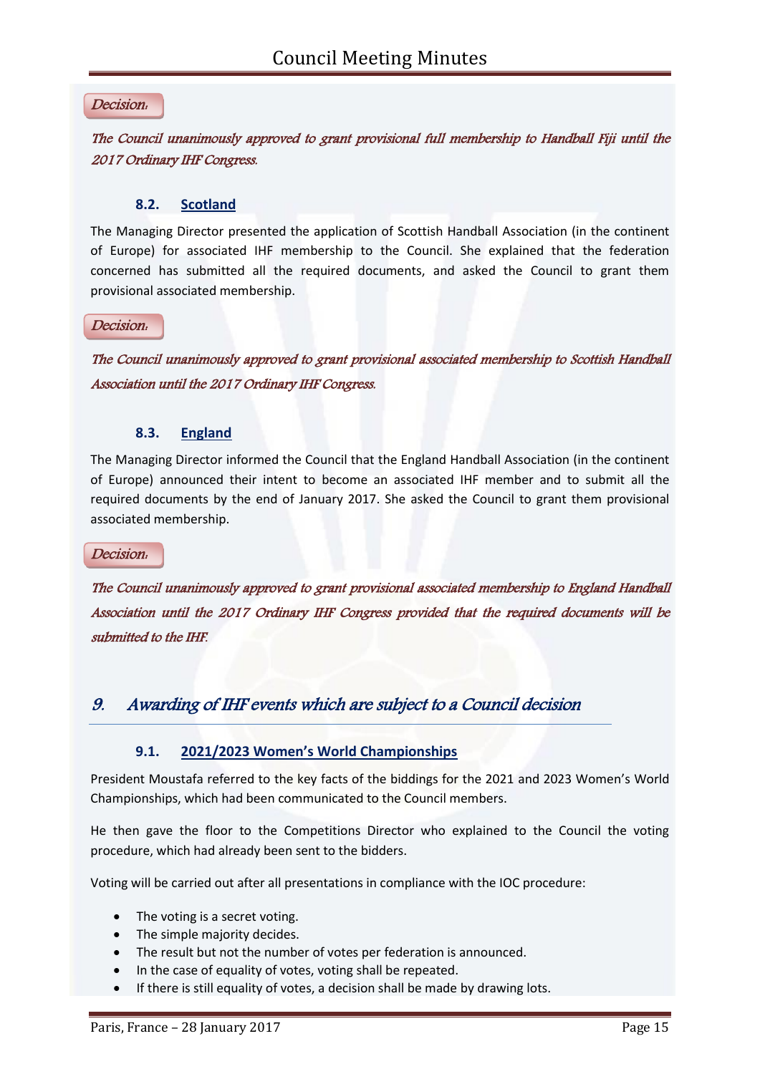#### Decision:

## The Council unanimously approved to grant provisional full membership to Handball Fiji until the 2017 Ordinary IHF Congress.

#### **8.2. Scotland**

The Managing Director presented the application of Scottish Handball Association (in the continent of Europe) for associated IHF membership to the Council. She explained that the federation concerned has submitted all the required documents, and asked the Council to grant them provisional associated membership.

#### Decision:

The Council unanimously approved to grant provisional associated membership to Scottish Handball Association until the 2017 Ordinary IHF Congress.

#### **8.3. England**

The Managing Director informed the Council that the England Handball Association (in the continent of Europe) announced their intent to become an associated IHF member and to submit all the required documents by the end of January 2017. She asked the Council to grant them provisional associated membership.

#### Decision:

The Council unanimously approved to grant provisional associated membership to England Handball Association until the 2017 Ordinary IHF Congress provided that the required documents will be submitted to the IHF.

## 9. Awarding of IHF events which are subject to a Council decision

#### **9.1. 2021/2023 Women's World Championships**

President Moustafa referred to the key facts of the biddings for the 2021 and 2023 Women's World Championships, which had been communicated to the Council members.

He then gave the floor to the Competitions Director who explained to the Council the voting procedure, which had already been sent to the bidders.

Voting will be carried out after all presentations in compliance with the IOC procedure:

- The voting is a secret voting.
- The simple majority decides.
- The result but not the number of votes per federation is announced.
- In the case of equality of votes, voting shall be repeated.
- If there is still equality of votes, a decision shall be made by drawing lots.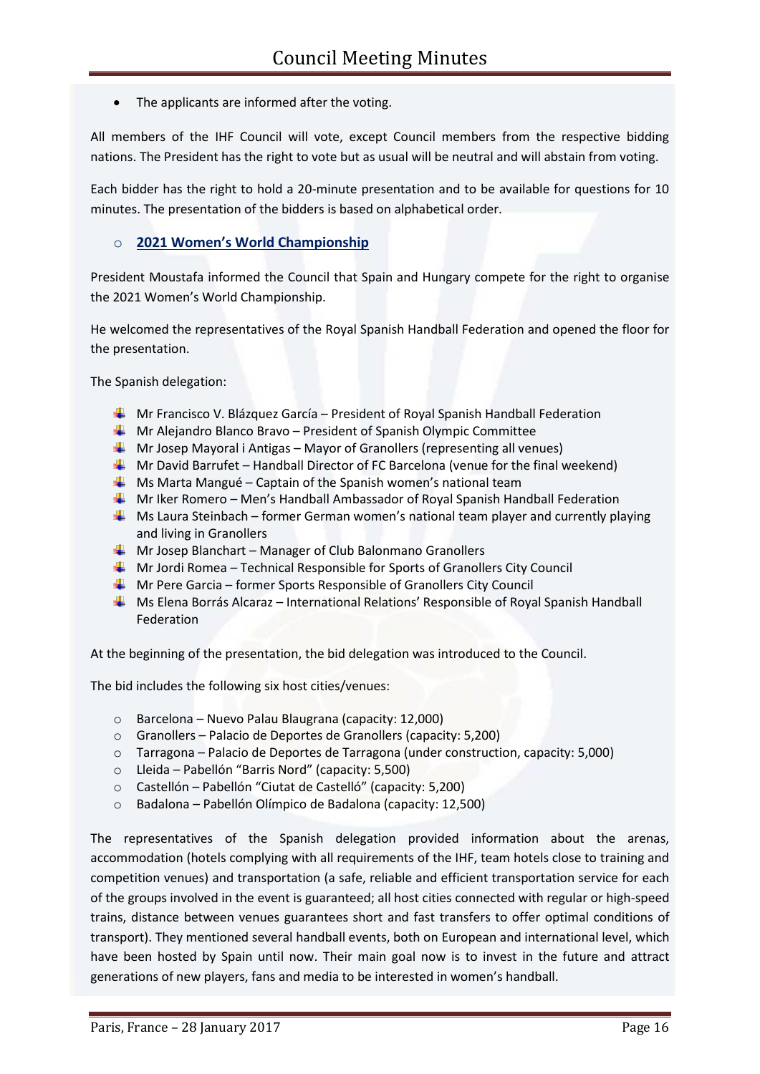• The applicants are informed after the voting.

All members of the IHF Council will vote, except Council members from the respective bidding nations. The President has the right to vote but as usual will be neutral and will abstain from voting.

Each bidder has the right to hold a 20-minute presentation and to be available for questions for 10 minutes. The presentation of the bidders is based on alphabetical order.

#### o **2021 Women's World Championship**

President Moustafa informed the Council that Spain and Hungary compete for the right to organise the 2021 Women's World Championship.

He welcomed the representatives of the Royal Spanish Handball Federation and opened the floor for the presentation.

The Spanish delegation:

- **Mr Francisco V. Blázquez García President of Royal Spanish Handball Federation**
- $\textcolor{red}{\blacktriangle}$  Mr Alejandro Blanco Bravo President of Spanish Olympic Committee
- $\downarrow$  Mr Josep Mayoral i Antigas Mayor of Granollers (representing all venues)
- $\textcolor{red}{\blacklozenge}$  Mr David Barrufet Handball Director of FC Barcelona (venue for the final weekend)
- $\frac{1}{\sqrt{1-\frac{1}{\sqrt{1-\frac{1}{\sqrt{1-\frac{1}{\sqrt{1-\frac{1}{\sqrt{1-\frac{1}{\sqrt{1-\frac{1}{\sqrt{1-\frac{1}{\sqrt{1-\frac{1}{\sqrt{1-\frac{1}{\sqrt{1-\frac{1}{\sqrt{1-\frac{1}{\sqrt{1-\frac{1}{\sqrt{1-\frac{1}{\sqrt{1-\frac{1}{\sqrt{1-\frac{1}{\sqrt{1-\frac{1}{\sqrt{1-\frac{1}{\sqrt{1-\frac{1}{\sqrt{1-\frac{1}{\sqrt{1-\frac{1}{\sqrt{1-\frac{1}{\sqrt{1-\frac{1}{\sqrt{1-\frac{1}{\sqrt{1-\frac{1$
- $\textcolor{red}{\blacklozenge}$  Mr Iker Romero Men's Handball Ambassador of Royal Spanish Handball Federation
- $\frac{1}{2}$  Ms Laura Steinbach former German women's national team player and currently playing and living in Granollers
- $\textcolor{red}{\blackdownarrow}$  Mr Josep Blanchart Manager of Club Balonmano Granollers
- $\uparrow$  Mr Jordi Romea Technical Responsible for Sports of Granollers City Council
- $\downarrow$  Mr Pere Garcia former Sports Responsible of Granollers City Council
- Ms Elena Borrás Alcaraz International Relations' Responsible of Royal Spanish Handball Federation

At the beginning of the presentation, the bid delegation was introduced to the Council.

The bid includes the following six host cities/venues:

- o Barcelona Nuevo Palau Blaugrana (capacity: 12,000)
- o Granollers Palacio de Deportes de Granollers (capacity: 5,200)
- o Tarragona Palacio de Deportes de Tarragona (under construction, capacity: 5,000)
- o Lleida Pabellón "Barris Nord" (capacity: 5,500)
- o Castellón Pabellón "Ciutat de Castelló" (capacity: 5,200)
- o Badalona Pabellón Olímpico de Badalona (capacity: 12,500)

The representatives of the Spanish delegation provided information about the arenas, accommodation (hotels complying with all requirements of the IHF, team hotels close to training and competition venues) and transportation (a safe, reliable and efficient transportation service for each of the groups involved in the event is guaranteed; all host cities connected with regular or high-speed trains, distance between venues guarantees short and fast transfers to offer optimal conditions of transport). They mentioned several handball events, both on European and international level, which have been hosted by Spain until now. Their main goal now is to invest in the future and attract generations of new players, fans and media to be interested in women's handball.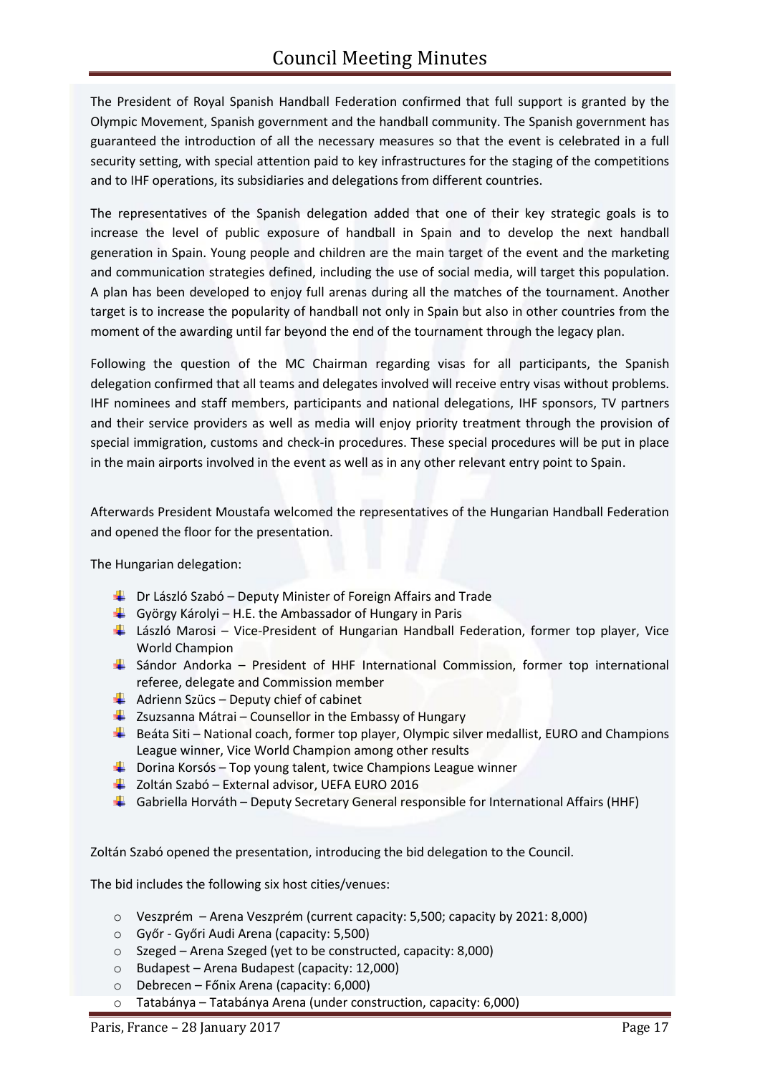The President of Royal Spanish Handball Federation confirmed that full support is granted by the Olympic Movement, Spanish government and the handball community. The Spanish government has guaranteed the introduction of all the necessary measures so that the event is celebrated in a full security setting, with special attention paid to key infrastructures for the staging of the competitions and to IHF operations, its subsidiaries and delegations from different countries.

The representatives of the Spanish delegation added that one of their key strategic goals is to increase the level of public exposure of handball in Spain and to develop the next handball generation in Spain. Young people and children are the main target of the event and the marketing and communication strategies defined, including the use of social media, will target this population. A plan has been developed to enjoy full arenas during all the matches of the tournament. Another target is to increase the popularity of handball not only in Spain but also in other countries from the moment of the awarding until far beyond the end of the tournament through the legacy plan.

Following the question of the MC Chairman regarding visas for all participants, the Spanish delegation confirmed that all teams and delegates involved will receive entry visas without problems. IHF nominees and staff members, participants and national delegations, IHF sponsors, TV partners and their service providers as well as media will enjoy priority treatment through the provision of special immigration, customs and check-in procedures. These special procedures will be put in place in the main airports involved in the event as well as in any other relevant entry point to Spain.

Afterwards President Moustafa welcomed the representatives of the Hungarian Handball Federation and opened the floor for the presentation.

The Hungarian delegation:

- $\bigstar$  Dr László Szabó Deputy Minister of Foreign Affairs and Trade
- György Károlyi H.E. the Ambassador of Hungary in Paris
- $\frac{1}{2}$  László Marosi Vice-President of Hungarian Handball Federation, former top player, Vice World Champion
- $\ddot{+}$  Sándor Andorka President of HHF International Commission, former top international referee, delegate and Commission member
- $\overline{\phantom{a}}$  Adrienn Szücs Deputy chief of cabinet
- $\overline{\phantom{a}}$  Zsuzsanna Mátrai Counsellor in the Embassy of Hungary
- $\ddot{+}$  Beáta Siti National coach, former top player, Olympic silver medallist, EURO and Champions League winner, Vice World Champion among other results
- $\downarrow$  Dorina Korsós Top young talent, twice Champions League winner
- $\overline{\phantom{a}}$  Zoltán Szabó External advisor, UEFA EURO 2016
- Gabriella Horváth Deputy Secretary General responsible for International Affairs (HHF)

Zoltán Szabó opened the presentation, introducing the bid delegation to the Council.

The bid includes the following six host cities/venues:

- o Veszprém Arena Veszprém (current capacity: 5,500; capacity by 2021: 8,000)
- o Győr Győri Audi Arena (capacity: 5,500)
- o Szeged Arena Szeged (yet to be constructed, capacity: 8,000)
- o Budapest Arena Budapest (capacity: 12,000)
- o Debrecen Főnix Arena (capacity: 6,000)
- o Tatabánya Tatabánya Arena (under construction, capacity: 6,000)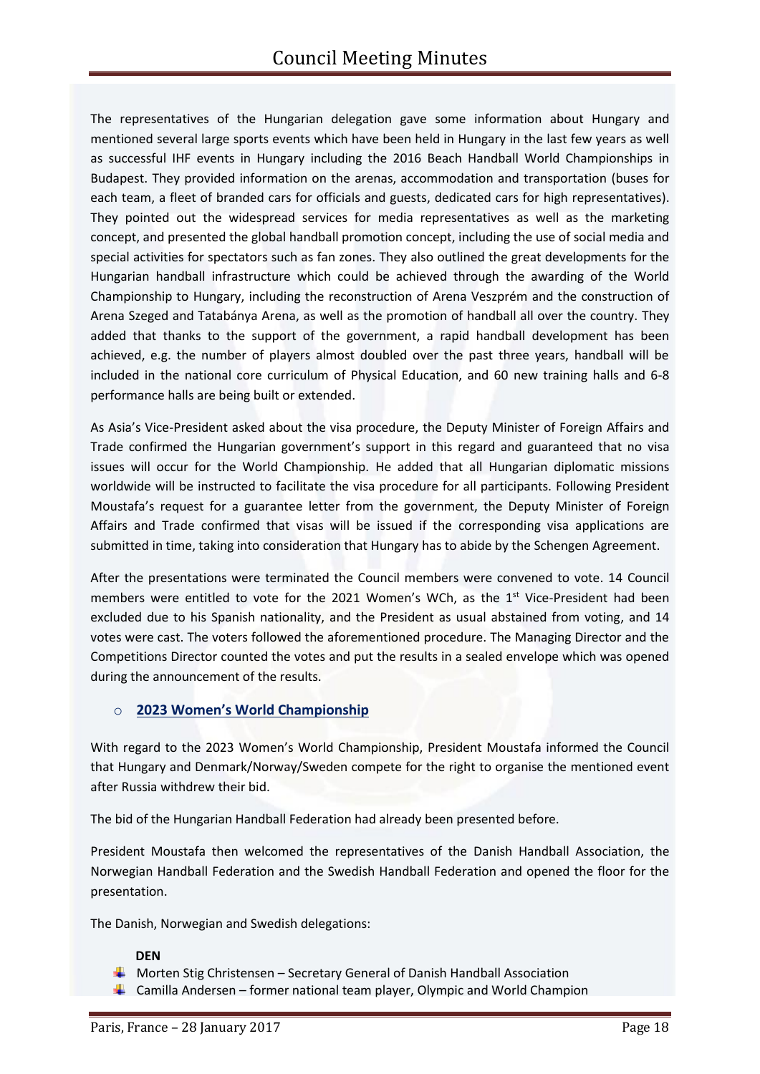The representatives of the Hungarian delegation gave some information about Hungary and mentioned several large sports events which have been held in Hungary in the last few years as well as successful IHF events in Hungary including the 2016 Beach Handball World Championships in Budapest. They provided information on the arenas, accommodation and transportation (buses for each team, a fleet of branded cars for officials and guests, dedicated cars for high representatives). They pointed out the widespread services for media representatives as well as the marketing concept, and presented the global handball promotion concept, including the use of social media and special activities for spectators such as fan zones. They also outlined the great developments for the Hungarian handball infrastructure which could be achieved through the awarding of the World Championship to Hungary, including the reconstruction of Arena Veszprém and the construction of Arena Szeged and Tatabánya Arena, as well as the promotion of handball all over the country. They added that thanks to the support of the government, a rapid handball development has been achieved, e.g. the number of players almost doubled over the past three years, handball will be included in the national core curriculum of Physical Education, and 60 new training halls and 6-8 performance halls are being built or extended.

As Asia's Vice-President asked about the visa procedure, the Deputy Minister of Foreign Affairs and Trade confirmed the Hungarian government's support in this regard and guaranteed that no visa issues will occur for the World Championship. He added that all Hungarian diplomatic missions worldwide will be instructed to facilitate the visa procedure for all participants. Following President Moustafa's request for a guarantee letter from the government, the Deputy Minister of Foreign Affairs and Trade confirmed that visas will be issued if the corresponding visa applications are submitted in time, taking into consideration that Hungary has to abide by the Schengen Agreement.

After the presentations were terminated the Council members were convened to vote. 14 Council members were entitled to vote for the 2021 Women's WCh, as the  $1<sup>st</sup>$  Vice-President had been excluded due to his Spanish nationality, and the President as usual abstained from voting, and 14 votes were cast. The voters followed the aforementioned procedure. The Managing Director and the Competitions Director counted the votes and put the results in a sealed envelope which was opened during the announcement of the results.

## o **2023 Women's World Championship**

With regard to the 2023 Women's World Championship, President Moustafa informed the Council that Hungary and Denmark/Norway/Sweden compete for the right to organise the mentioned event after Russia withdrew their bid.

The bid of the Hungarian Handball Federation had already been presented before.

President Moustafa then welcomed the representatives of the Danish Handball Association, the Norwegian Handball Federation and the Swedish Handball Federation and opened the floor for the presentation.

The Danish, Norwegian and Swedish delegations:

#### **DEN**

- **Morten Stig Christensen Secretary General of Danish Handball Association**
- **L** Camilla Andersen former national team player, Olympic and World Champion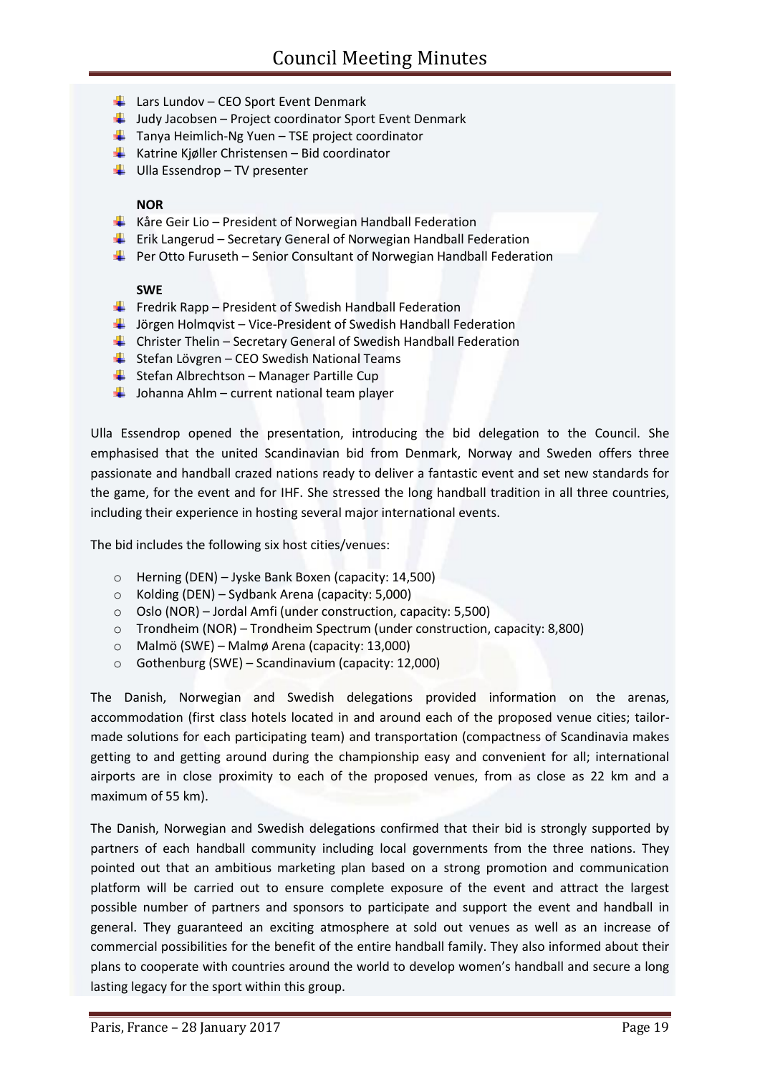- $\downarrow$  Lars Lundov CEO Sport Event Denmark
- $\downarrow$  Judy Jacobsen Project coordinator Sport Event Denmark
- $\frac{1}{2}$  Tanya Heimlich-Ng Yuen TSE project coordinator
- **Katrine Kiøller Christensen Bid coordinator**
- $\downarrow$  Ulla Essendrop TV presenter

#### **NOR**

- $\frac{1}{\sqrt{2}}$  Kåre Geir Lio President of Norwegian Handball Federation
- $\frac{1}{2}$  Erik Langerud Secretary General of Norwegian Handball Federation
- $\downarrow$  Per Otto Furuseth Senior Consultant of Norwegian Handball Federation

#### **SWE**

- $\frac{1}{\sqrt{2}}$  Fredrik Rapp President of Swedish Handball Federation
- $\frac{1}{2}$  Jörgen Holmqvist Vice-President of Swedish Handball Federation
- $\bigstar$  Christer Thelin Secretary General of Swedish Handball Federation
- Stefan Lövgren CEO Swedish National Teams
- $\bigstar$  Stefan Albrechtson Manager Partille Cup
- $\frac{1}{2}$  Johanna Ahlm current national team player

Ulla Essendrop opened the presentation, introducing the bid delegation to the Council. She emphasised that the united Scandinavian bid from Denmark, Norway and Sweden offers three passionate and handball crazed nations ready to deliver a fantastic event and set new standards for the game, for the event and for IHF. She stressed the long handball tradition in all three countries, including their experience in hosting several major international events.

The bid includes the following six host cities/venues:

- o Herning (DEN) Jyske Bank Boxen (capacity: 14,500)
- o Kolding (DEN) Sydbank Arena (capacity: 5,000)
- o Oslo (NOR) Jordal Amfi (under construction, capacity: 5,500)
- o Trondheim (NOR) Trondheim Spectrum (under construction, capacity: 8,800)
- o Malmö (SWE) Malmø Arena (capacity: 13,000)
- o Gothenburg (SWE) Scandinavium (capacity: 12,000)

The Danish, Norwegian and Swedish delegations provided information on the arenas, accommodation (first class hotels located in and around each of the proposed venue cities; tailormade solutions for each participating team) and transportation (compactness of Scandinavia makes getting to and getting around during the championship easy and convenient for all; international airports are in close proximity to each of the proposed venues, from as close as 22 km and a maximum of 55 km).

The Danish, Norwegian and Swedish delegations confirmed that their bid is strongly supported by partners of each handball community including local governments from the three nations. They pointed out that an ambitious marketing plan based on a strong promotion and communication platform will be carried out to ensure complete exposure of the event and attract the largest possible number of partners and sponsors to participate and support the event and handball in general. They guaranteed an exciting atmosphere at sold out venues as well as an increase of commercial possibilities for the benefit of the entire handball family. They also informed about their plans to cooperate with countries around the world to develop women's handball and secure a long lasting legacy for the sport within this group.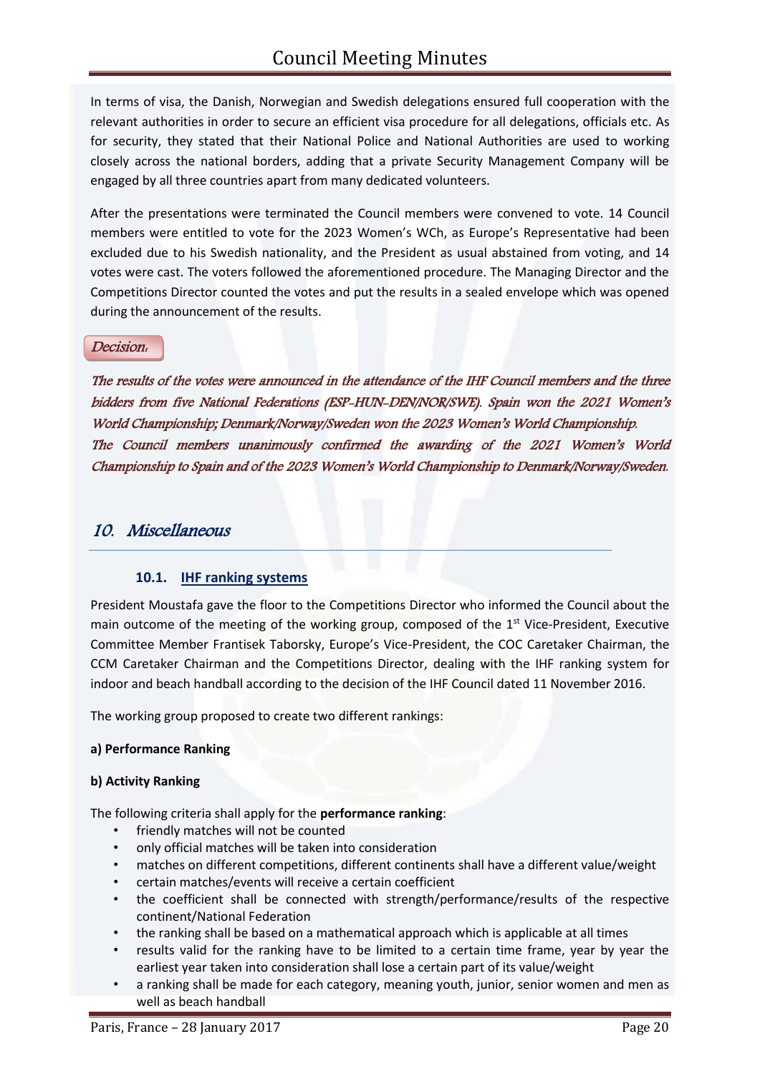In terms of visa, the Danish, Norwegian and Swedish delegations ensured full cooperation with the relevant authorities in order to secure an efficient visa procedure for all delegations, officials etc. As for security, they stated that their National Police and National Authorities are used to working closely across the national borders, adding that a private Security Management Company will be engaged by all three countries apart from many dedicated volunteers.

After the presentations were terminated the Council members were convened to vote. 14 Council members were entitled to vote for the 2023 Women's WCh, as Europe's Representative had been excluded due to his Swedish nationality, and the President as usual abstained from voting, and 14 votes were cast. The voters followed the aforementioned procedure. The Managing Director and the Competitions Director counted the votes and put the results in a sealed envelope which was opened during the announcement of the results.

#### Decision:

The results of the votes were announced in the attendance of the IHF Council members and the three bidders from five National Federations (ESP-HUN-DEN/NOR/SWE). Spain won the 2021 Women's World Championship; Denmark/Norway/Sweden won the 2023 Women's World Championship. The Council members unanimously confirmed the awarding of the 2021 Women's World Championship to Spain and of the 2023 Women's World Championship to Denmark/Norway/Sweden.

## 10. Miscellaneous

#### **10.1. IHF ranking systems**

President Moustafa gave the floor to the Competitions Director who informed the Council about the main outcome of the meeting of the working group, composed of the  $1<sup>st</sup>$  Vice-President, Executive Committee Member Frantisek Taborsky, Europe's Vice-President, the COC Caretaker Chairman, the CCM Caretaker Chairman and the Competitions Director, dealing with the IHF ranking system for indoor and beach handball according to the decision of the IHF Council dated 11 November 2016.

The working group proposed to create two different rankings:

#### **a) Performance Ranking**

#### **b) Activity Ranking**

The following criteria shall apply for the **performance ranking**:

- friendly matches will not be counted
- only official matches will be taken into consideration
- matches on different competitions, different continents shall have a different value/weight
- certain matches/events will receive a certain coefficient
- the coefficient shall be connected with strength/performance/results of the respective continent/National Federation
- the ranking shall be based on a mathematical approach which is applicable at all times
- results valid for the ranking have to be limited to a certain time frame, year by year the earliest year taken into consideration shall lose a certain part of its value/weight
- a ranking shall be made for each category, meaning youth, junior, senior women and men as well as beach handball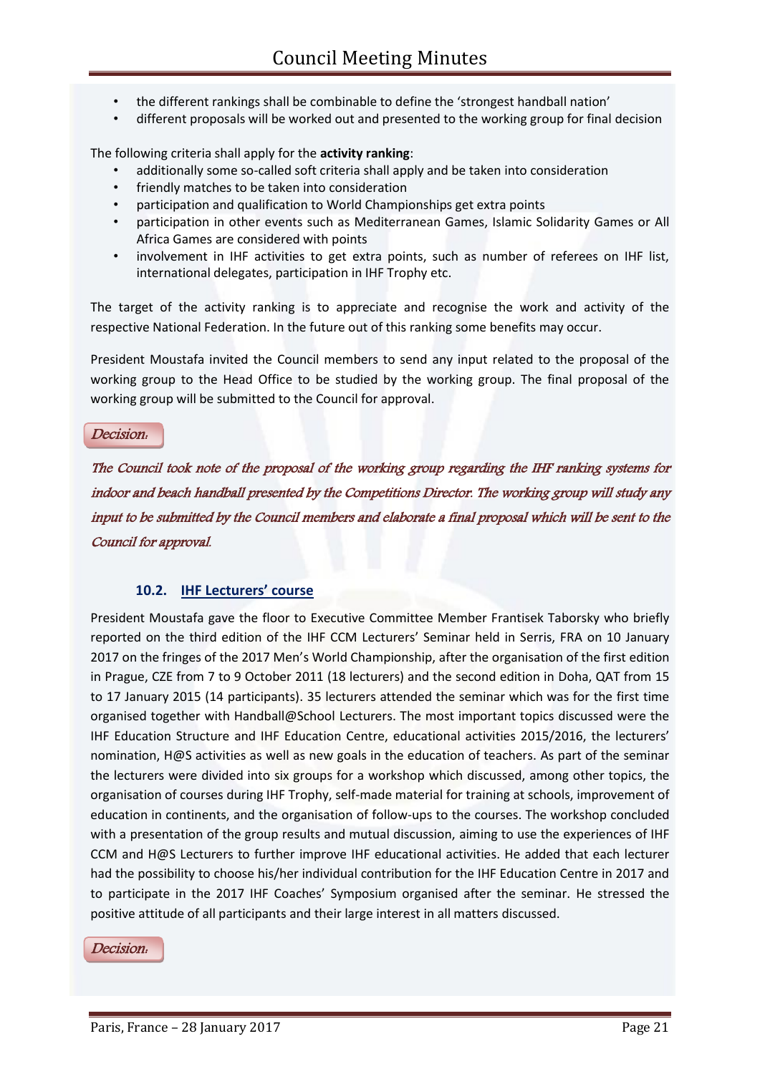- the different rankings shall be combinable to define the 'strongest handball nation'
- different proposals will be worked out and presented to the working group for final decision

The following criteria shall apply for the **activity ranking**:

- additionally some so-called soft criteria shall apply and be taken into consideration
- friendly matches to be taken into consideration
- participation and qualification to World Championships get extra points
- participation in other events such as Mediterranean Games, Islamic Solidarity Games or All Africa Games are considered with points
- involvement in IHF activities to get extra points, such as number of referees on IHF list, international delegates, participation in IHF Trophy etc.

The target of the activity ranking is to appreciate and recognise the work and activity of the respective National Federation. In the future out of this ranking some benefits may occur.

President Moustafa invited the Council members to send any input related to the proposal of the working group to the Head Office to be studied by the working group. The final proposal of the working group will be submitted to the Council for approval.

Decision:

The Council took note of the proposal of the working group regarding the IHF ranking systems for indoor and beach handball presented by the Competitions Director. The working group will study any input to be submitted by the Council members and elaborate a final proposal which will be sent to the Council for approval.

## **10.2. IHF Lecturers' course**

President Moustafa gave the floor to Executive Committee Member Frantisek Taborsky who briefly reported on the third edition of the IHF CCM Lecturers' Seminar held in Serris, FRA on 10 January 2017 on the fringes of the 2017 Men's World Championship, after the organisation of the first edition in Prague, CZE from 7 to 9 October 2011 (18 lecturers) and the second edition in Doha, QAT from 15 to 17 January 2015 (14 participants). 35 lecturers attended the seminar which was for the first time organised together with Handball@School Lecturers. The most important topics discussed were the IHF Education Structure and IHF Education Centre, educational activities 2015/2016, the lecturers' nomination, H@S activities as well as new goals in the education of teachers. As part of the seminar the lecturers were divided into six groups for a workshop which discussed, among other topics, the organisation of courses during IHF Trophy, self-made material for training at schools, improvement of education in continents, and the organisation of follow-ups to the courses. The workshop concluded with a presentation of the group results and mutual discussion, aiming to use the experiences of IHF CCM and H@S Lecturers to further improve IHF educational activities. He added that each lecturer had the possibility to choose his/her individual contribution for the IHF Education Centre in 2017 and to participate in the 2017 IHF Coaches' Symposium organised after the seminar. He stressed the positive attitude of all participants and their large interest in all matters discussed.

#### Decision: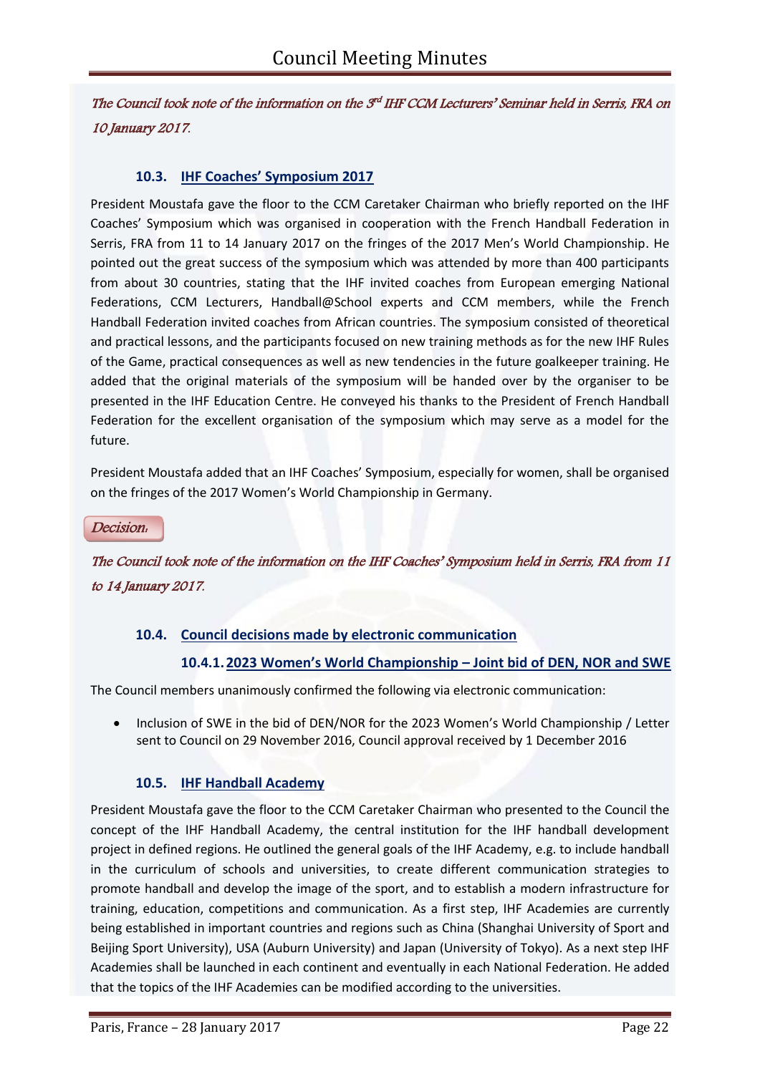The Council took note of the information on the  $\mathcal{S}^d$  IHF CCM Lecturers' Seminar held in Serris, FRA on 10 January 2017.

## **10.3. IHF Coaches' Symposium 2017**

President Moustafa gave the floor to the CCM Caretaker Chairman who briefly reported on the IHF Coaches' Symposium which was organised in cooperation with the French Handball Federation in Serris, FRA from 11 to 14 January 2017 on the fringes of the 2017 Men's World Championship. He pointed out the great success of the symposium which was attended by more than 400 participants from about 30 countries, stating that the IHF invited coaches from European emerging National Federations, CCM Lecturers, Handball@School experts and CCM members, while the French Handball Federation invited coaches from African countries. The symposium consisted of theoretical and practical lessons, and the participants focused on new training methods as for the new IHF Rules of the Game, practical consequences as well as new tendencies in the future goalkeeper training. He added that the original materials of the symposium will be handed over by the organiser to be presented in the IHF Education Centre. He conveyed his thanks to the President of French Handball Federation for the excellent organisation of the symposium which may serve as a model for the future.

President Moustafa added that an IHF Coaches' Symposium, especially for women, shall be organised on the fringes of the 2017 Women's World Championship in Germany.

Decision:

The Council took note of the information on the IHF Coaches' Symposium held in Serris, FRA from 11 to 14 January 2017.

## **10.4. Council decisions made by electronic communication**

## **10.4.1.2023 Women's World Championship – Joint bid of DEN, NOR and SWE**

The Council members unanimously confirmed the following via electronic communication:

• Inclusion of SWE in the bid of DEN/NOR for the 2023 Women's World Championship / Letter sent to Council on 29 November 2016, Council approval received by 1 December 2016

## **10.5. IHF Handball Academy**

President Moustafa gave the floor to the CCM Caretaker Chairman who presented to the Council the concept of the IHF Handball Academy, the central institution for the IHF handball development project in defined regions. He outlined the general goals of the IHF Academy, e.g. to include handball in the curriculum of schools and universities, to create different communication strategies to promote handball and develop the image of the sport, and to establish a modern infrastructure for training, education, competitions and communication. As a first step, IHF Academies are currently being established in important countries and regions such as China (Shanghai University of Sport and Beijing Sport University), USA (Auburn University) and Japan (University of Tokyo). As a next step IHF Academies shall be launched in each continent and eventually in each National Federation. He added that the topics of the IHF Academies can be modified according to the universities.